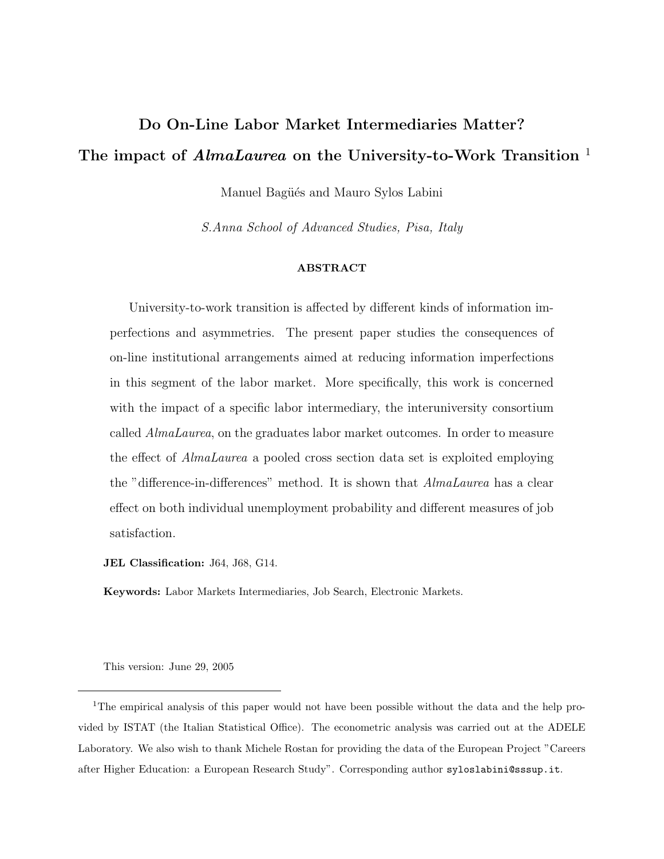# Do On-Line Labor Market Intermediaries Matter? The impact of  $AlmaLaurea$  on the University-to-Work Transition<sup>1</sup>

Manuel Bagüés and Mauro Sylos Labini

S.Anna School of Advanced Studies, Pisa, Italy

### ABSTRACT

University-to-work transition is affected by different kinds of information imperfections and asymmetries. The present paper studies the consequences of on-line institutional arrangements aimed at reducing information imperfections in this segment of the labor market. More specifically, this work is concerned with the impact of a specific labor intermediary, the interuniversity consortium called AlmaLaurea, on the graduates labor market outcomes. In order to measure the effect of AlmaLaurea a pooled cross section data set is exploited employing the "difference-in-differences" method. It is shown that AlmaLaurea has a clear effect on both individual unemployment probability and different measures of job satisfaction.

JEL Classification: J64, J68, G14.

Keywords: Labor Markets Intermediaries, Job Search, Electronic Markets.

This version: June 29, 2005

<sup>&</sup>lt;sup>1</sup>The empirical analysis of this paper would not have been possible without the data and the help provided by ISTAT (the Italian Statistical Office). The econometric analysis was carried out at the ADELE Laboratory. We also wish to thank Michele Rostan for providing the data of the European Project "Careers after Higher Education: a European Research Study". Corresponding author syloslabini@sssup.it.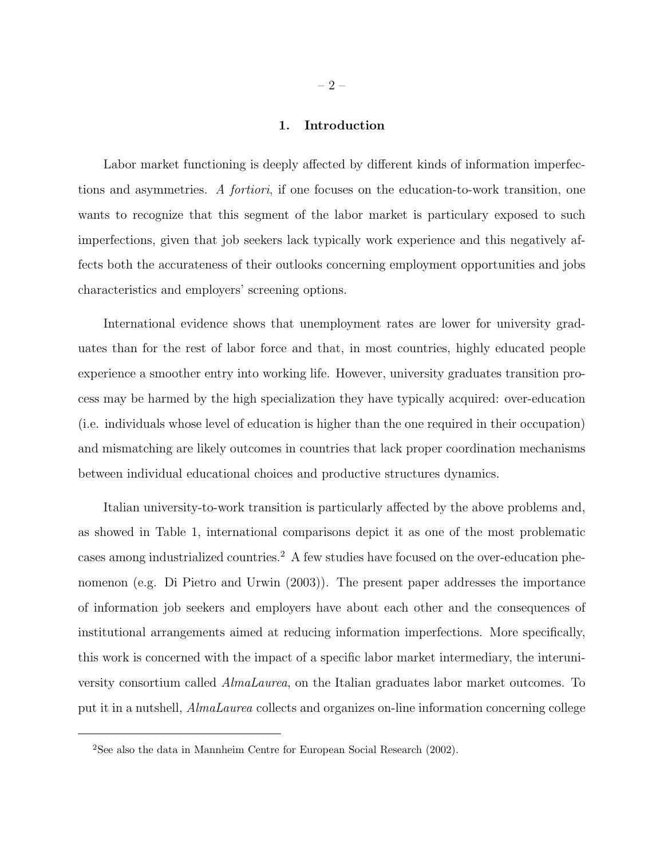#### 1. Introduction

Labor market functioning is deeply affected by different kinds of information imperfections and asymmetries. A fortiori, if one focuses on the education-to-work transition, one wants to recognize that this segment of the labor market is particulary exposed to such imperfections, given that job seekers lack typically work experience and this negatively affects both the accurateness of their outlooks concerning employment opportunities and jobs characteristics and employers' screening options.

International evidence shows that unemployment rates are lower for university graduates than for the rest of labor force and that, in most countries, highly educated people experience a smoother entry into working life. However, university graduates transition process may be harmed by the high specialization they have typically acquired: over-education (i.e. individuals whose level of education is higher than the one required in their occupation) and mismatching are likely outcomes in countries that lack proper coordination mechanisms between individual educational choices and productive structures dynamics.

Italian university-to-work transition is particularly affected by the above problems and, as showed in Table 1, international comparisons depict it as one of the most problematic cases among industrialized countries.<sup>2</sup> A few studies have focused on the over-education phenomenon (e.g. Di Pietro and Urwin (2003)). The present paper addresses the importance of information job seekers and employers have about each other and the consequences of institutional arrangements aimed at reducing information imperfections. More specifically, this work is concerned with the impact of a specific labor market intermediary, the interuniversity consortium called AlmaLaurea, on the Italian graduates labor market outcomes. To put it in a nutshell, AlmaLaurea collects and organizes on-line information concerning college

<sup>2</sup>See also the data in Mannheim Centre for European Social Research (2002).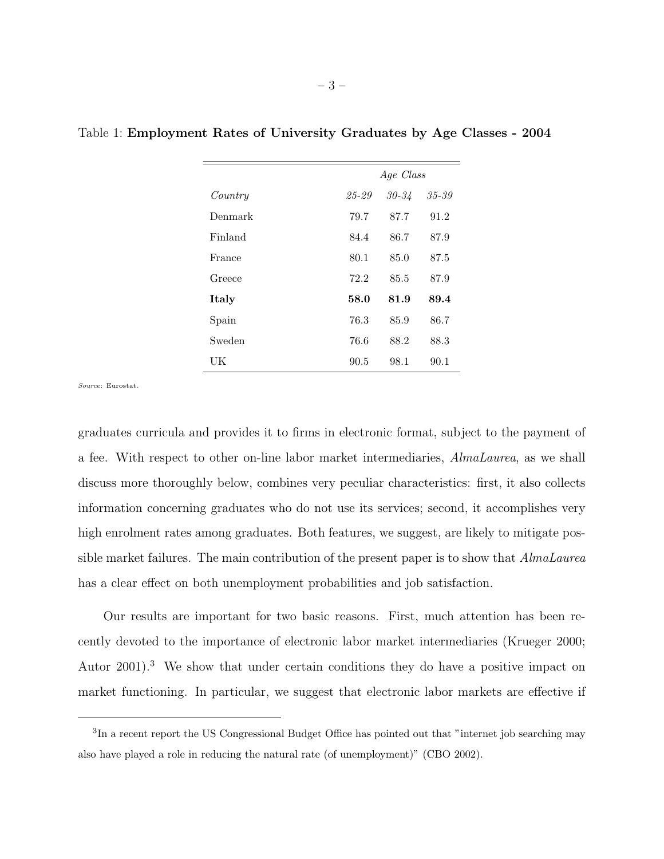|         | Age Class |           |       |
|---------|-----------|-----------|-------|
| Country | 25-29     | $30 - 34$ | 35-39 |
| Denmark | 79.7      | 87.7      | 91.2  |
| Finland | 84.4      | 86.7      | 87.9  |
| France  | 80.1      | 85.0      | 87.5  |
| Greece  | 72.2      | 85.5      | 87.9  |
| Italy   | 58.0      | 81.9      | 89.4  |
| Spain   | 76.3      | 85.9      | 86.7  |
| Sweden  | 76.6      | 88.2      | 88.3  |
| UК      | 90.5      | 98.1      | 90.1  |

Table 1: Employment Rates of University Graduates by Age Classes - 2004

Source: Eurostat.

graduates curricula and provides it to firms in electronic format, subject to the payment of a fee. With respect to other on-line labor market intermediaries, AlmaLaurea, as we shall discuss more thoroughly below, combines very peculiar characteristics: first, it also collects information concerning graduates who do not use its services; second, it accomplishes very high enrolment rates among graduates. Both features, we suggest, are likely to mitigate possible market failures. The main contribution of the present paper is to show that *AlmaLaurea* has a clear effect on both unemployment probabilities and job satisfaction.

Our results are important for two basic reasons. First, much attention has been recently devoted to the importance of electronic labor market intermediaries (Krueger 2000; Autor 2001).<sup>3</sup> We show that under certain conditions they do have a positive impact on market functioning. In particular, we suggest that electronic labor markets are effective if

<sup>&</sup>lt;sup>3</sup>In a recent report the US Congressional Budget Office has pointed out that "internet job searching may also have played a role in reducing the natural rate (of unemployment)" (CBO 2002).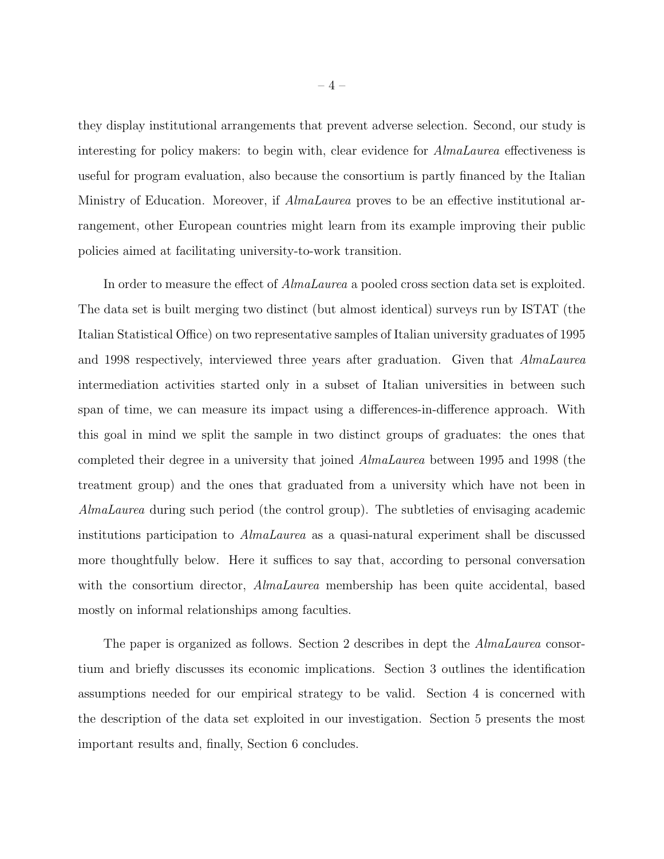they display institutional arrangements that prevent adverse selection. Second, our study is interesting for policy makers: to begin with, clear evidence for AlmaLaurea effectiveness is useful for program evaluation, also because the consortium is partly financed by the Italian Ministry of Education. Moreover, if AlmaLaurea proves to be an effective institutional arrangement, other European countries might learn from its example improving their public policies aimed at facilitating university-to-work transition.

In order to measure the effect of AlmaLaurea a pooled cross section data set is exploited. The data set is built merging two distinct (but almost identical) surveys run by ISTAT (the Italian Statistical Office) on two representative samples of Italian university graduates of 1995 and 1998 respectively, interviewed three years after graduation. Given that AlmaLaurea intermediation activities started only in a subset of Italian universities in between such span of time, we can measure its impact using a differences-in-difference approach. With this goal in mind we split the sample in two distinct groups of graduates: the ones that completed their degree in a university that joined AlmaLaurea between 1995 and 1998 (the treatment group) and the ones that graduated from a university which have not been in AlmaLaurea during such period (the control group). The subtleties of envisaging academic institutions participation to AlmaLaurea as a quasi-natural experiment shall be discussed more thoughtfully below. Here it suffices to say that, according to personal conversation with the consortium director, *AlmaLaurea* membership has been quite accidental, based mostly on informal relationships among faculties.

The paper is organized as follows. Section 2 describes in dept the *AlmaLaurea* consortium and briefly discusses its economic implications. Section 3 outlines the identification assumptions needed for our empirical strategy to be valid. Section 4 is concerned with the description of the data set exploited in our investigation. Section 5 presents the most important results and, finally, Section 6 concludes.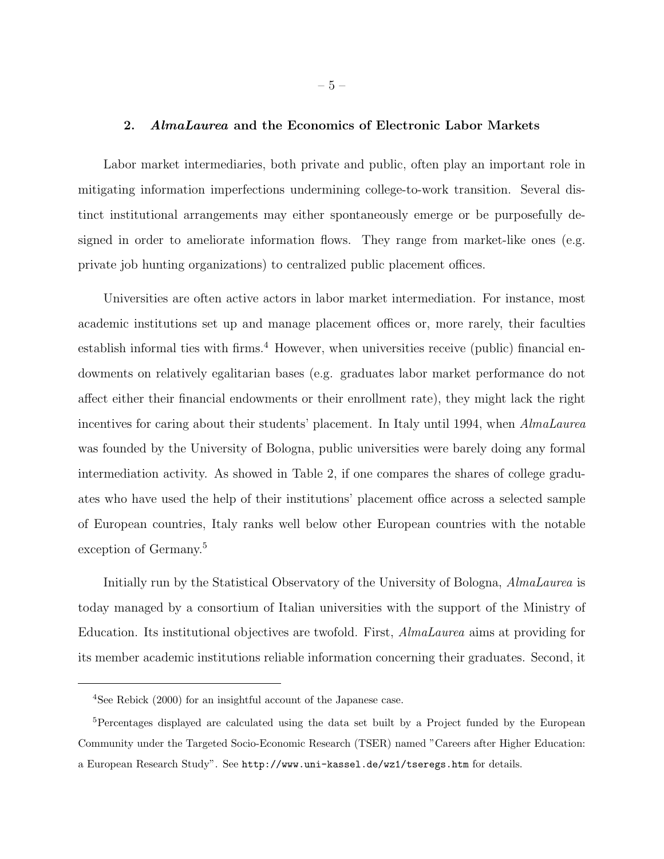## 2. AlmaLaurea and the Economics of Electronic Labor Markets

Labor market intermediaries, both private and public, often play an important role in mitigating information imperfections undermining college-to-work transition. Several distinct institutional arrangements may either spontaneously emerge or be purposefully designed in order to ameliorate information flows. They range from market-like ones (e.g. private job hunting organizations) to centralized public placement offices.

Universities are often active actors in labor market intermediation. For instance, most academic institutions set up and manage placement offices or, more rarely, their faculties establish informal ties with firms.<sup>4</sup> However, when universities receive (public) financial endowments on relatively egalitarian bases (e.g. graduates labor market performance do not affect either their financial endowments or their enrollment rate), they might lack the right incentives for caring about their students' placement. In Italy until 1994, when AlmaLaurea was founded by the University of Bologna, public universities were barely doing any formal intermediation activity. As showed in Table 2, if one compares the shares of college graduates who have used the help of their institutions' placement office across a selected sample of European countries, Italy ranks well below other European countries with the notable exception of Germany.<sup>5</sup>

Initially run by the Statistical Observatory of the University of Bologna, AlmaLaurea is today managed by a consortium of Italian universities with the support of the Ministry of Education. Its institutional objectives are twofold. First, AlmaLaurea aims at providing for its member academic institutions reliable information concerning their graduates. Second, it

<sup>4</sup>See Rebick (2000) for an insightful account of the Japanese case.

<sup>&</sup>lt;sup>5</sup>Percentages displayed are calculated using the data set built by a Project funded by the European Community under the Targeted Socio-Economic Research (TSER) named "Careers after Higher Education: a European Research Study". See http://www.uni-kassel.de/wz1/tseregs.htm for details.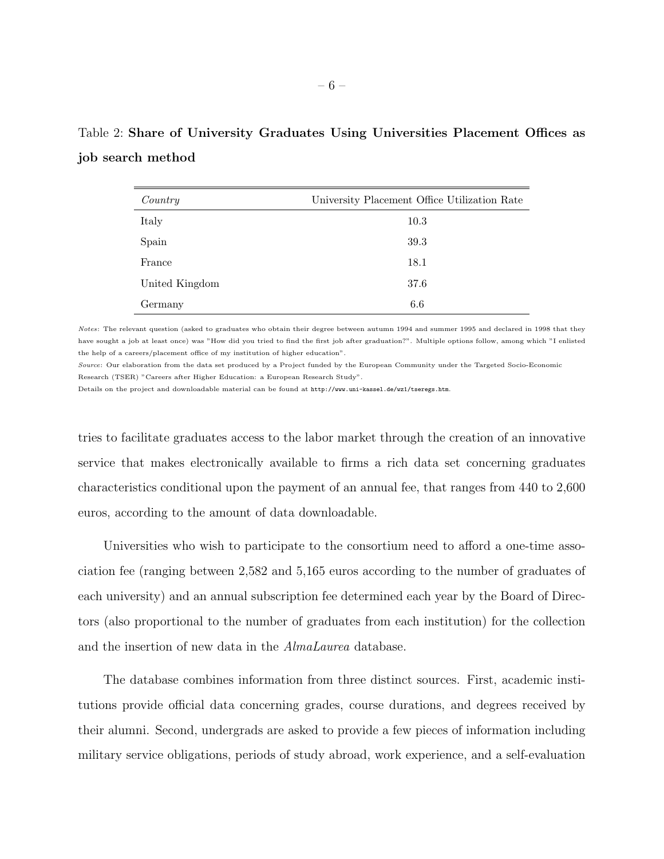|                   |  |  | Table 2: Share of University Graduates Using Universities Placement Offices as |  |  |
|-------------------|--|--|--------------------------------------------------------------------------------|--|--|
| job search method |  |  |                                                                                |  |  |

| Country        | University Placement Office Utilization Rate |
|----------------|----------------------------------------------|
| Italy          | 10.3                                         |
| Spain          | 39.3                                         |
| France         | 18.1                                         |
| United Kingdom | 37.6                                         |
| Germany        | 6.6                                          |

Notes: The relevant question (asked to graduates who obtain their degree between autumn 1994 and summer 1995 and declared in 1998 that they have sought a job at least once) was "How did you tried to find the first job after graduation?". Multiple options follow, among which "I enlisted the help of a careers/placement office of my institution of higher education".

Source: Our elaboration from the data set produced by a Project funded by the European Community under the Targeted Socio-Economic Research (TSER) "Careers after Higher Education: a European Research Study".

Details on the project and downloadable material can be found at http://www.uni-kassel.de/wz1/tseregs.htm.

tries to facilitate graduates access to the labor market through the creation of an innovative service that makes electronically available to firms a rich data set concerning graduates characteristics conditional upon the payment of an annual fee, that ranges from 440 to 2,600 euros, according to the amount of data downloadable.

Universities who wish to participate to the consortium need to afford a one-time association fee (ranging between 2,582 and 5,165 euros according to the number of graduates of each university) and an annual subscription fee determined each year by the Board of Directors (also proportional to the number of graduates from each institution) for the collection and the insertion of new data in the AlmaLaurea database.

The database combines information from three distinct sources. First, academic institutions provide official data concerning grades, course durations, and degrees received by their alumni. Second, undergrads are asked to provide a few pieces of information including military service obligations, periods of study abroad, work experience, and a self-evaluation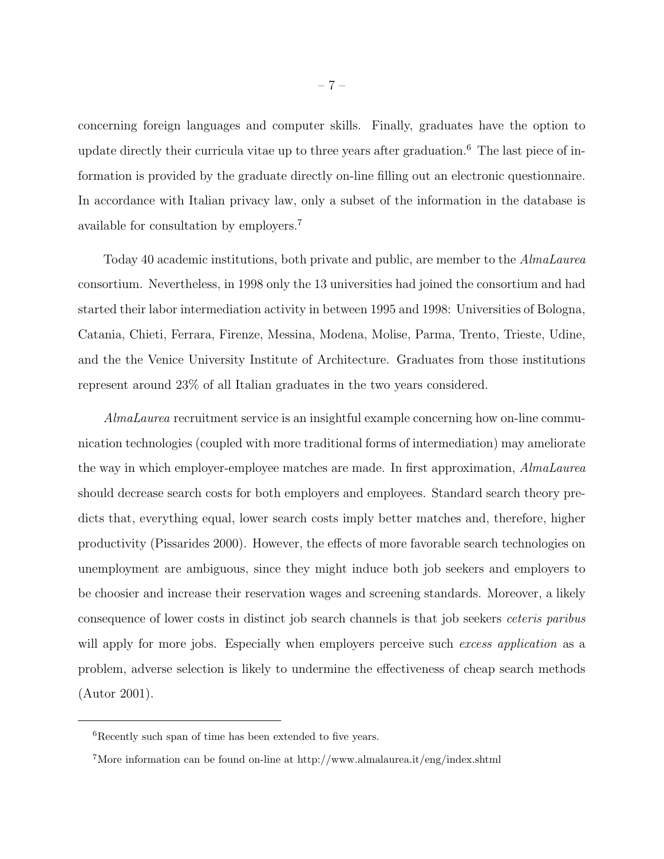concerning foreign languages and computer skills. Finally, graduates have the option to update directly their curricula vitae up to three years after graduation.<sup>6</sup> The last piece of information is provided by the graduate directly on-line filling out an electronic questionnaire. In accordance with Italian privacy law, only a subset of the information in the database is available for consultation by employers.<sup>7</sup>

Today 40 academic institutions, both private and public, are member to the AlmaLaurea consortium. Nevertheless, in 1998 only the 13 universities had joined the consortium and had started their labor intermediation activity in between 1995 and 1998: Universities of Bologna, Catania, Chieti, Ferrara, Firenze, Messina, Modena, Molise, Parma, Trento, Trieste, Udine, and the the Venice University Institute of Architecture. Graduates from those institutions represent around 23% of all Italian graduates in the two years considered.

AlmaLaurea recruitment service is an insightful example concerning how on-line communication technologies (coupled with more traditional forms of intermediation) may ameliorate the way in which employer-employee matches are made. In first approximation, AlmaLaurea should decrease search costs for both employers and employees. Standard search theory predicts that, everything equal, lower search costs imply better matches and, therefore, higher productivity (Pissarides 2000). However, the effects of more favorable search technologies on unemployment are ambiguous, since they might induce both job seekers and employers to be choosier and increase their reservation wages and screening standards. Moreover, a likely consequence of lower costs in distinct job search channels is that job seekers ceteris paribus will apply for more jobs. Especially when employers perceive such excess application as a problem, adverse selection is likely to undermine the effectiveness of cheap search methods (Autor 2001).

<sup>6</sup>Recently such span of time has been extended to five years.

<sup>&</sup>lt;sup>7</sup>More information can be found on-line at http://www.almalaurea.it/eng/index.shtml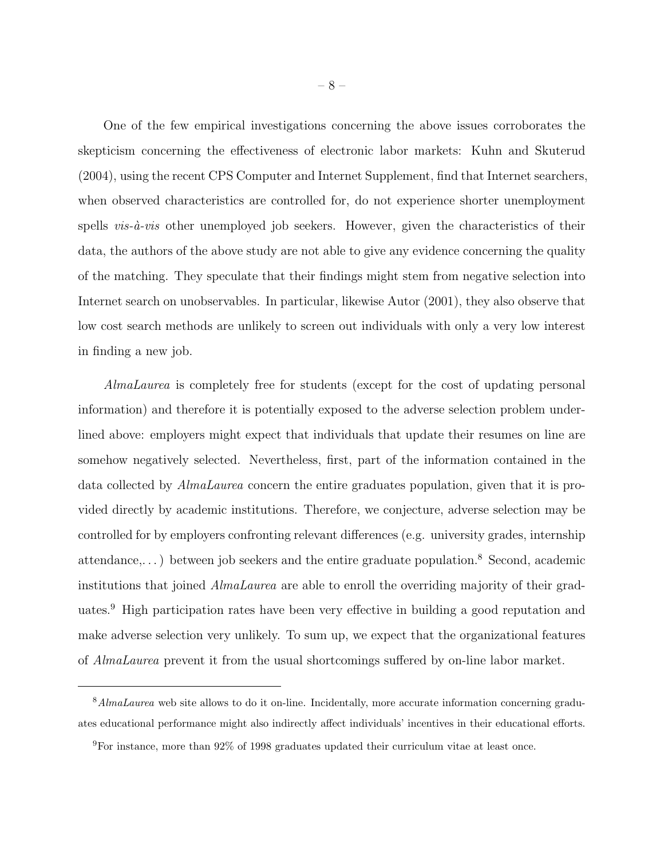One of the few empirical investigations concerning the above issues corroborates the skepticism concerning the effectiveness of electronic labor markets: Kuhn and Skuterud (2004), using the recent CPS Computer and Internet Supplement, find that Internet searchers, when observed characteristics are controlled for, do not experience shorter unemployment spells  $vis-\hat{a}-vis$  other unemployed job seekers. However, given the characteristics of their data, the authors of the above study are not able to give any evidence concerning the quality of the matching. They speculate that their findings might stem from negative selection into Internet search on unobservables. In particular, likewise Autor (2001), they also observe that low cost search methods are unlikely to screen out individuals with only a very low interest in finding a new job.

AlmaLaurea is completely free for students (except for the cost of updating personal information) and therefore it is potentially exposed to the adverse selection problem underlined above: employers might expect that individuals that update their resumes on line are somehow negatively selected. Nevertheless, first, part of the information contained in the data collected by AlmaLaurea concern the entire graduates population, given that it is provided directly by academic institutions. Therefore, we conjecture, adverse selection may be controlled for by employers confronting relevant differences (e.g. university grades, internship attendance,...) between job seekers and the entire graduate population.<sup>8</sup> Second, academic institutions that joined AlmaLaurea are able to enroll the overriding majority of their graduates.<sup>9</sup> High participation rates have been very effective in building a good reputation and make adverse selection very unlikely. To sum up, we expect that the organizational features of AlmaLaurea prevent it from the usual shortcomings suffered by on-line labor market.

<sup>8</sup>AlmaLaurea web site allows to do it on-line. Incidentally, more accurate information concerning graduates educational performance might also indirectly affect individuals' incentives in their educational efforts.

<sup>9</sup>For instance, more than 92% of 1998 graduates updated their curriculum vitae at least once.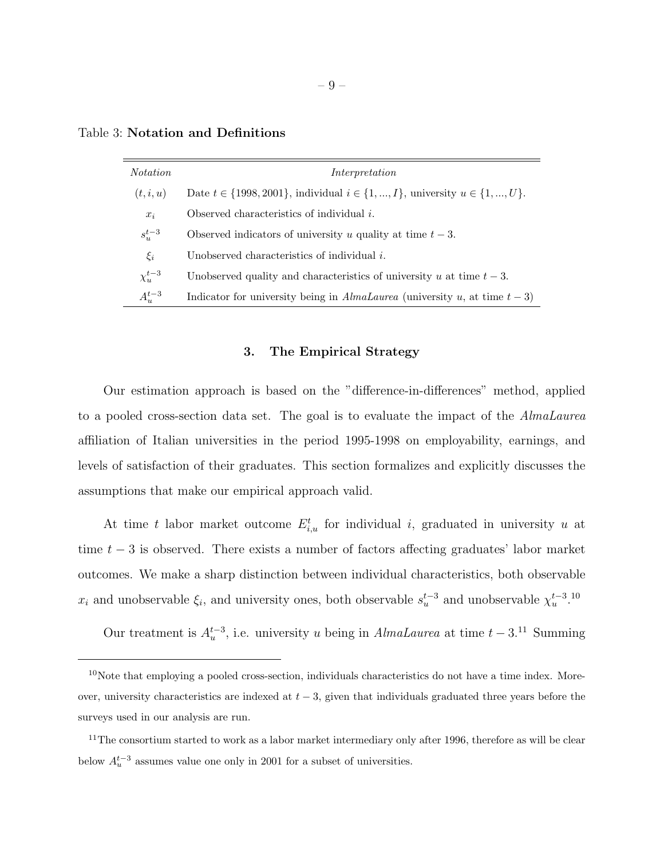| <i>Notation</i> | Interpretation                                                                                |
|-----------------|-----------------------------------------------------------------------------------------------|
| (t, i, u)       | Date $t \in \{1998, 2001\}$ , individual $i \in \{1, , I\}$ , university $u \in \{1, , U\}$ . |
| $x_i$           | Observed characteristics of individual $i$ .                                                  |
| $s_u^{t-3}$     | Observed indicators of university u quality at time $t-3$ .                                   |
| $\xi_i$         | Unobserved characteristics of individual $i$ .                                                |
| $\chi^{t-3}_u$  | Unobserved quality and characteristics of university u at time $t-3$ .                        |
| $A_u^{t-3}$     | Indicator for university being in AlmaLaurea (university u, at time $t-3$ )                   |

Table 3: Notation and Definitions

#### 3. The Empirical Strategy

Our estimation approach is based on the "difference-in-differences" method, applied to a pooled cross-section data set. The goal is to evaluate the impact of the AlmaLaurea affiliation of Italian universities in the period 1995-1998 on employability, earnings, and levels of satisfaction of their graduates. This section formalizes and explicitly discusses the assumptions that make our empirical approach valid.

At time t labor market outcome  $E_{i,u}^t$  for individual i, graduated in university u at time  $t - 3$  is observed. There exists a number of factors affecting graduates' labor market outcomes. We make a sharp distinction between individual characteristics, both observable  $x_i$  and unobservable  $\xi_i$ , and university ones, both observable  $s_u^{t-3}$  and unobservable  $\chi_u^{t-3}$ .<sup>10</sup>

Our treatment is  $A_u^{t-3}$ , i.e. university u being in AlmaLaurea at time  $t-3.11$  Summing

 $10$ Note that employing a pooled cross-section, individuals characteristics do not have a time index. Moreover, university characteristics are indexed at  $t - 3$ , given that individuals graduated three years before the surveys used in our analysis are run.

 $11$ The consortium started to work as a labor market intermediary only after 1996, therefore as will be clear below  $A_u^{t-3}$  assumes value one only in 2001 for a subset of universities.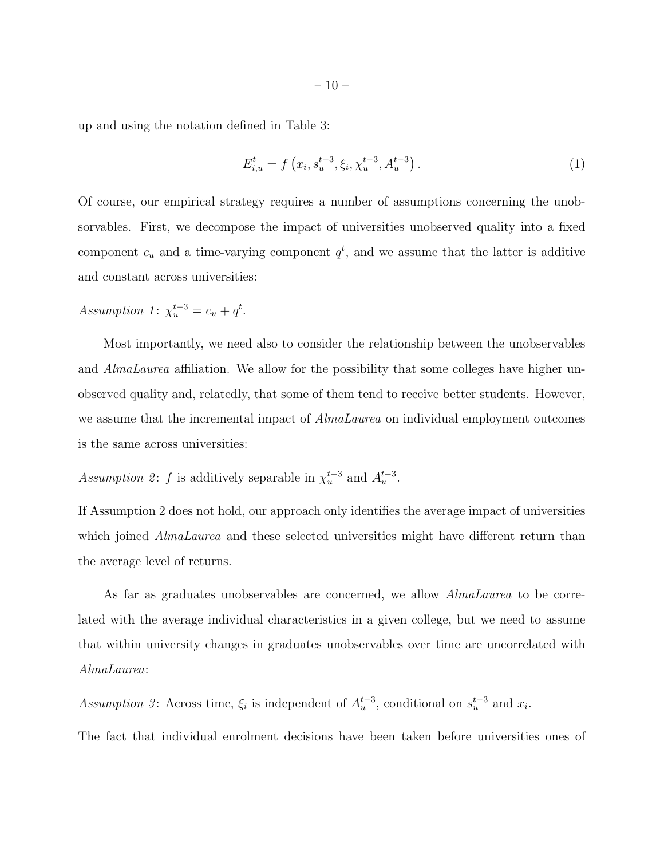up and using the notation defined in Table 3:

$$
E_{i,u}^{t} = f\left(x_i, s_u^{t-3}, \xi_i, \chi_u^{t-3}, A_u^{t-3}\right). \tag{1}
$$

Of course, our empirical strategy requires a number of assumptions concerning the unobsorvables. First, we decompose the impact of universities unobserved quality into a fixed component  $c_u$  and a time-varying component  $q^t$ , and we assume that the latter is additive and constant across universities:

Assumption 1:  $\chi_u^{t-3} = c_u + q^t$ .

Most importantly, we need also to consider the relationship between the unobservables and *AlmaLaurea* affiliation. We allow for the possibility that some colleges have higher unobserved quality and, relatedly, that some of them tend to receive better students. However, we assume that the incremental impact of *AlmaLaurea* on individual employment outcomes is the same across universities:

Assumption 2: f is additively separable in  $\chi_u^{t-3}$  and  $A_u^{t-3}$ .

If Assumption 2 does not hold, our approach only identifies the average impact of universities which joined *AlmaLaurea* and these selected universities might have different return than the average level of returns.

As far as graduates unobservables are concerned, we allow *AlmaLaurea* to be correlated with the average individual characteristics in a given college, but we need to assume that within university changes in graduates unobservables over time are uncorrelated with AlmaLaurea:

Assumption 3: Across time,  $\xi_i$  is independent of  $A_u^{t-3}$ , conditional on  $s_u^{t-3}$  and  $x_i$ .

The fact that individual enrolment decisions have been taken before universities ones of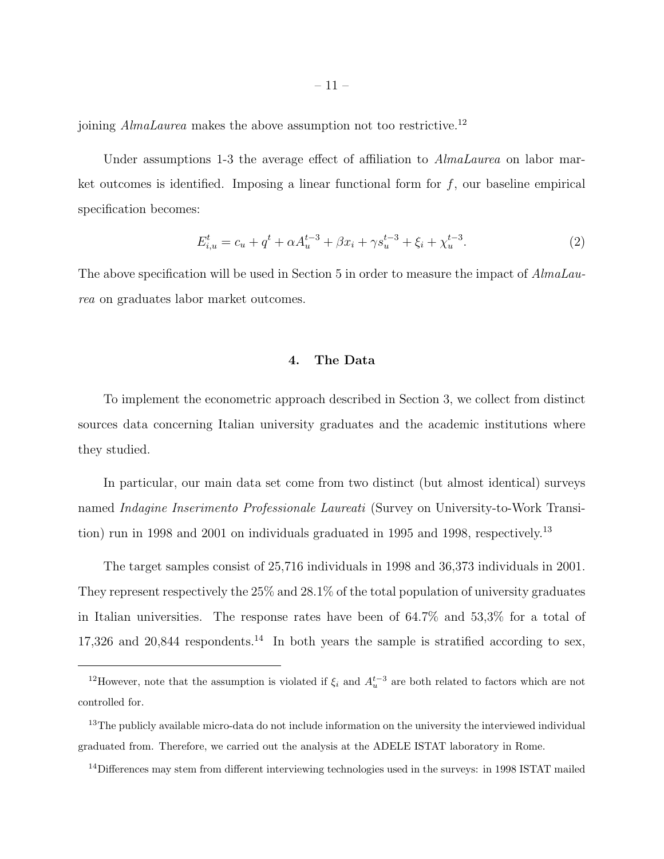joining AlmaLaurea makes the above assumption not too restrictive.<sup>12</sup>

Under assumptions 1-3 the average effect of affiliation to *AlmaLaurea* on labor market outcomes is identified. Imposing a linear functional form for  $f$ , our baseline empirical specification becomes:

$$
E_{i,u}^t = c_u + q^t + \alpha A_u^{t-3} + \beta x_i + \gamma s_u^{t-3} + \xi_i + \chi_u^{t-3}.
$$
 (2)

The above specification will be used in Section 5 in order to measure the impact of AlmaLaurea on graduates labor market outcomes.

## 4. The Data

To implement the econometric approach described in Section 3, we collect from distinct sources data concerning Italian university graduates and the academic institutions where they studied.

In particular, our main data set come from two distinct (but almost identical) surveys named Indagine Inserimento Professionale Laureati (Survey on University-to-Work Transition) run in 1998 and 2001 on individuals graduated in 1995 and 1998, respectively.<sup>13</sup>

The target samples consist of 25,716 individuals in 1998 and 36,373 individuals in 2001. They represent respectively the 25% and 28.1% of the total population of university graduates in Italian universities. The response rates have been of 64.7% and 53,3% for a total of 17,326 and 20,844 respondents.<sup>14</sup> In both years the sample is stratified according to sex,

<sup>&</sup>lt;sup>12</sup>However, note that the assumption is violated if  $\xi_i$  and  $A_u^{t-3}$  are both related to factors which are not controlled for.

<sup>&</sup>lt;sup>13</sup>The publicly available micro-data do not include information on the university the interviewed individual graduated from. Therefore, we carried out the analysis at the ADELE ISTAT laboratory in Rome.

<sup>&</sup>lt;sup>14</sup>Differences may stem from different interviewing technologies used in the surveys: in 1998 ISTAT mailed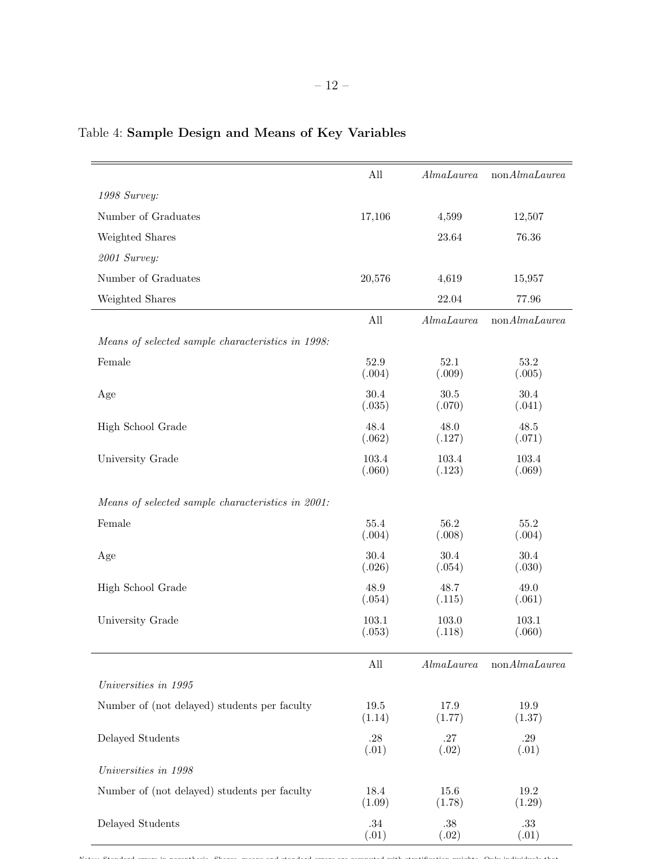|                                                   | All                | AlmaLaurea      | nonAlmalaurea             |
|---------------------------------------------------|--------------------|-----------------|---------------------------|
| 1998 Survey:                                      |                    |                 |                           |
| Number of Graduates                               | 17,106             | 4,599           | 12,507                    |
| Weighted Shares                                   |                    | 23.64           | 76.36                     |
| 2001 Survey:                                      |                    |                 |                           |
| Number of Graduates                               | 20,576             | 4,619           | 15,957                    |
| Weighted Shares                                   |                    | 22.04           | 77.96                     |
|                                                   | All                | AlmaLaurea      | $\mathrm{non}Almalau rea$ |
| Means of selected sample characteristics in 1998: |                    |                 |                           |
| Female                                            | 52.9<br>(.004)     | 52.1<br>(.009)  | 53.2<br>(.005)            |
| Age                                               | 30.4<br>(.035)     | 30.5<br>(.070)  | 30.4<br>(.041)            |
| High School Grade                                 | 48.4<br>(.062)     | 48.0<br>(.127)  | 48.5<br>(.071)            |
| University Grade                                  | 103.4<br>(.060)    | 103.4<br>(.123) | 103.4<br>(.069)           |
| Means of selected sample characteristics in 2001: |                    |                 |                           |
| Female                                            | 55.4<br>(.004)     | 56.2<br>(.008)  | 55.2<br>(.004)            |
| Age                                               | 30.4<br>(.026)     | 30.4<br>(.054)  | 30.4<br>(.030)            |
| High School Grade                                 | 48.9<br>(.054)     | 48.7<br>(.115)  | 49.0<br>(.061)            |
| University Grade                                  | 103.1<br>(.053)    | 103.0<br>(.118) | 103.1<br>(.060)           |
|                                                   | All                | AlmaLaurea      | nonAlmalaurea             |
| Universities in 1995                              |                    |                 |                           |
| Number of (not delayed) students per faculty      | $19.5\,$<br>(1.14) | 17.9<br>(1.77)  | 19.9<br>(1.37)            |
| Delayed Students                                  | .28<br>(.01)       | .27<br>(.02)    | .29<br>(.01)              |
| Universities in 1998                              |                    |                 |                           |
| Number of (not delayed) students per faculty      | 18.4<br>(1.09)     | 15.6<br>(1.78)  | $19.2\,$<br>(1.29)        |
| Delayed Students                                  | $.34\,$<br>(.01)   | .38<br>(.02)    | $.33\,$<br>(.01)          |

## Table 4: Sample Design and Means of Key Variables

Notes: Standard errors in parenthesis. Shares, means and standard errors are computed with stratification weights. Only individuals that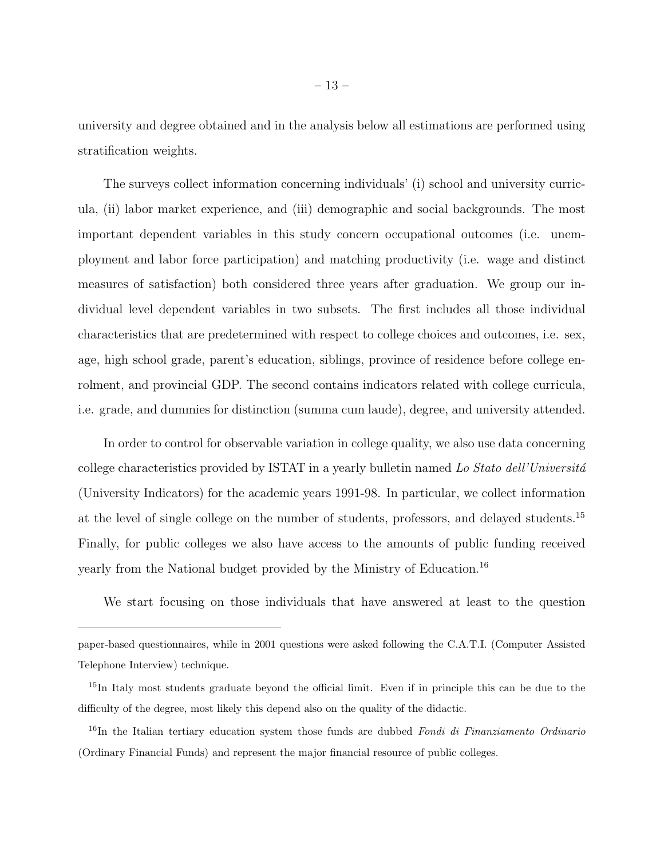university and degree obtained and in the analysis below all estimations are performed using stratification weights.

The surveys collect information concerning individuals' (i) school and university curricula, (ii) labor market experience, and (iii) demographic and social backgrounds. The most important dependent variables in this study concern occupational outcomes (i.e. unemployment and labor force participation) and matching productivity (i.e. wage and distinct measures of satisfaction) both considered three years after graduation. We group our individual level dependent variables in two subsets. The first includes all those individual characteristics that are predetermined with respect to college choices and outcomes, i.e. sex, age, high school grade, parent's education, siblings, province of residence before college enrolment, and provincial GDP. The second contains indicators related with college curricula, i.e. grade, and dummies for distinction (summa cum laude), degree, and university attended.

In order to control for observable variation in college quality, we also use data concerning college characteristics provided by ISTAT in a yearly bulletin named Lo Stato dell'Universitá (University Indicators) for the academic years 1991-98. In particular, we collect information at the level of single college on the number of students, professors, and delayed students.<sup>15</sup> Finally, for public colleges we also have access to the amounts of public funding received yearly from the National budget provided by the Ministry of Education.<sup>16</sup>

We start focusing on those individuals that have answered at least to the question

paper-based questionnaires, while in 2001 questions were asked following the C.A.T.I. (Computer Assisted Telephone Interview) technique.

<sup>&</sup>lt;sup>15</sup>In Italy most students graduate beyond the official limit. Even if in principle this can be due to the difficulty of the degree, most likely this depend also on the quality of the didactic.

 $16$ In the Italian tertiary education system those funds are dubbed Fondi di Finanziamento Ordinario (Ordinary Financial Funds) and represent the major financial resource of public colleges.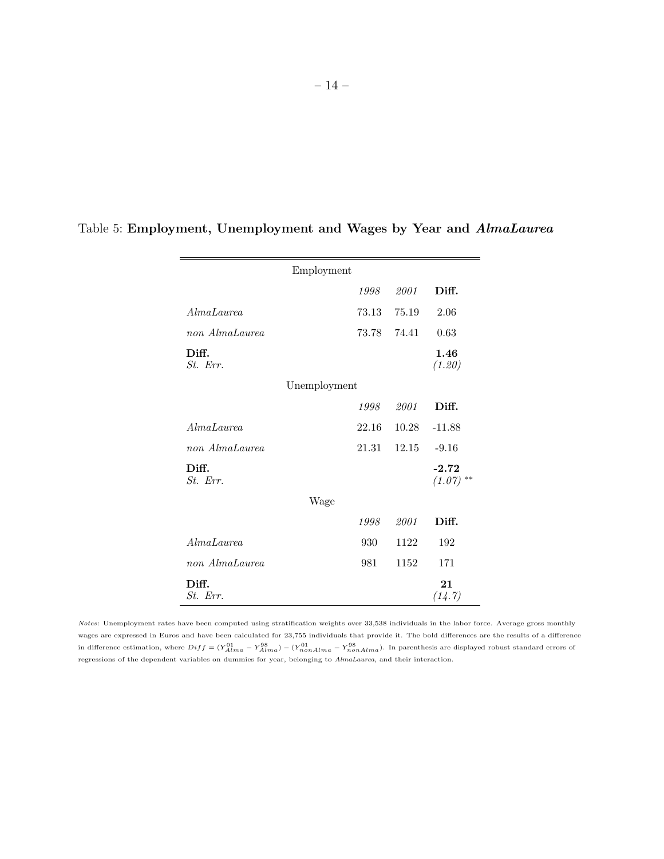|                       | Employment   |       |                        |
|-----------------------|--------------|-------|------------------------|
|                       | 1998         | 2001  | Diff.                  |
| AlmaLaurea            | 73.13        | 75.19 | 2.06                   |
| non AlmaLaurea        | 73.78        | 74.41 | 0.63                   |
| Diff.<br>St. Err.     |              |       | 1.46<br>(1.20)         |
|                       | Unemployment |       |                        |
|                       | 1998         | 2001  | Diff.                  |
| AlmaLaurea            | 22.16        | 10.28 | $-11.88$               |
| non AlmaLaurea        | 21.31        | 12.15 | $-9.16$                |
| Diff.<br>$St.$ $Err.$ |              |       | $-2.72$<br>$(1.07)$ ** |
|                       | Wage         |       |                        |
|                       | 1998         | 2001  | Diff.                  |
| AlmaLaurea            | 930          | 1122  | 192                    |
| non AlmaLaurea        | 981          | 1152  | 171                    |
| Diff.<br>St. Err.     |              |       | 21<br>(14.7)           |

## Table 5: Employment, Unemployment and Wages by Year and AlmaLaurea

Notes: Unemployment rates have been computed using stratification weights over 33,538 individuals in the labor force. Average gross monthly wages are expressed in Euros and have been calculated for 23,755 individuals that provide it. The bold differences are the results of a difference in difference estimation, where  $Diff = (Y_{Alma}^{01} - Y_{Alma}^{08}) - (Y_{nonAlma}^{00} - Y_{nonAlma}^{98})$ . In parenthesis are displayed robust standard errors of regressions of the dependent variables on dummies for year, belonging to AlmaLaurea, and their interaction.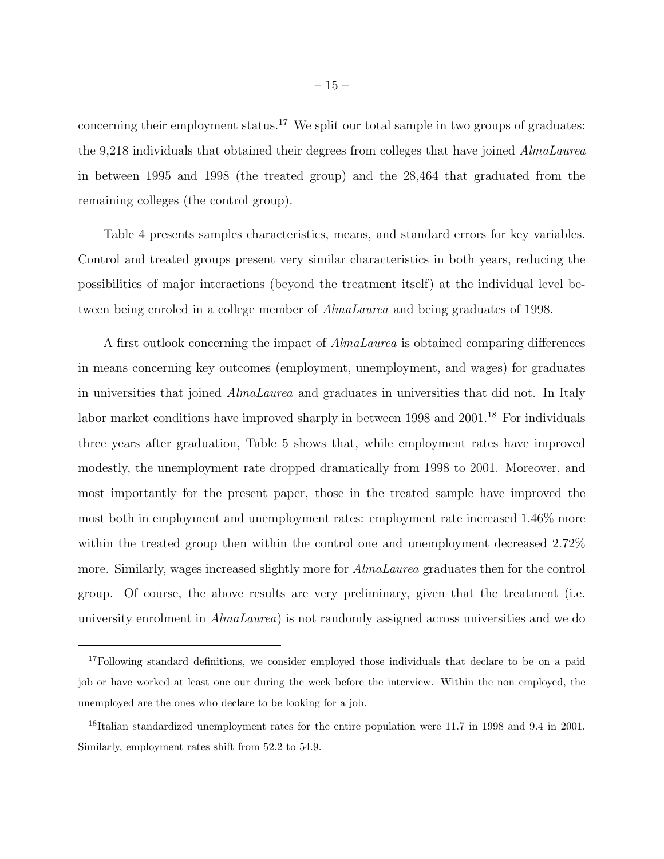concerning their employment status.<sup>17</sup> We split our total sample in two groups of graduates: the 9,218 individuals that obtained their degrees from colleges that have joined AlmaLaurea in between 1995 and 1998 (the treated group) and the 28,464 that graduated from the remaining colleges (the control group).

Table 4 presents samples characteristics, means, and standard errors for key variables. Control and treated groups present very similar characteristics in both years, reducing the possibilities of major interactions (beyond the treatment itself) at the individual level between being enroled in a college member of AlmaLaurea and being graduates of 1998.

A first outlook concerning the impact of AlmaLaurea is obtained comparing differences in means concerning key outcomes (employment, unemployment, and wages) for graduates in universities that joined AlmaLaurea and graduates in universities that did not. In Italy labor market conditions have improved sharply in between 1998 and 2001.<sup>18</sup> For individuals three years after graduation, Table 5 shows that, while employment rates have improved modestly, the unemployment rate dropped dramatically from 1998 to 2001. Moreover, and most importantly for the present paper, those in the treated sample have improved the most both in employment and unemployment rates: employment rate increased 1.46% more within the treated group then within the control one and unemployment decreased 2.72% more. Similarly, wages increased slightly more for *AlmaLaurea* graduates then for the control group. Of course, the above results are very preliminary, given that the treatment (i.e. university enrolment in AlmaLaurea) is not randomly assigned across universities and we do

<sup>&</sup>lt;sup>17</sup>Following standard definitions, we consider employed those individuals that declare to be on a paid job or have worked at least one our during the week before the interview. Within the non employed, the unemployed are the ones who declare to be looking for a job.

<sup>&</sup>lt;sup>18</sup>Italian standardized unemployment rates for the entire population were 11.7 in 1998 and 9.4 in 2001. Similarly, employment rates shift from 52.2 to 54.9.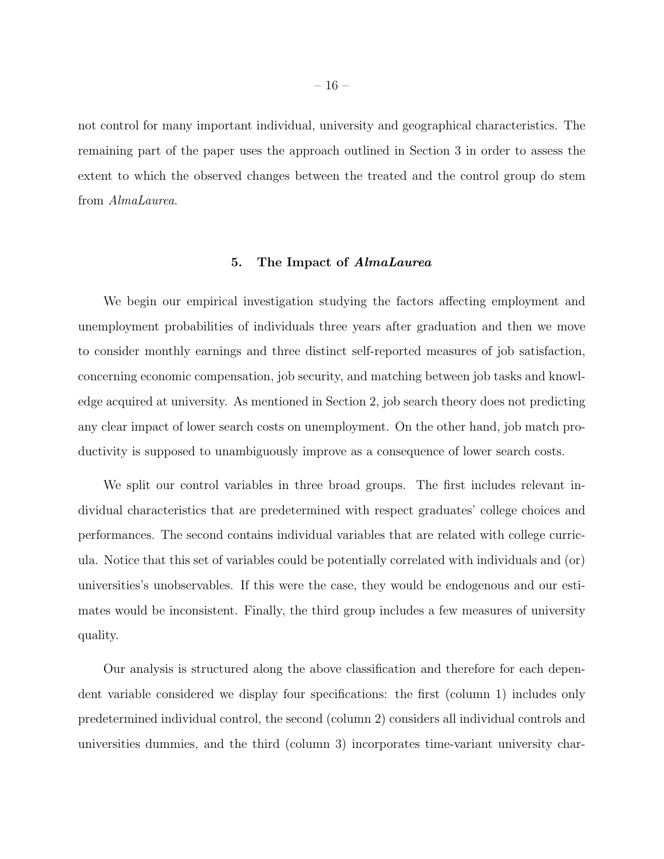not control for many important individual, university and geographical characteristics. The remaining part of the paper uses the approach outlined in Section 3 in order to assess the extent to which the observed changes between the treated and the control group do stem from AlmaLaurea.

## 5. The Impact of AlmaLaurea

We begin our empirical investigation studying the factors affecting employment and unemployment probabilities of individuals three years after graduation and then we move to consider monthly earnings and three distinct self-reported measures of job satisfaction, concerning economic compensation, job security, and matching between job tasks and knowledge acquired at university. As mentioned in Section 2, job search theory does not predicting any clear impact of lower search costs on unemployment. On the other hand, job match productivity is supposed to unambiguously improve as a consequence of lower search costs.

We split our control variables in three broad groups. The first includes relevant individual characteristics that are predetermined with respect graduates' college choices and performances. The second contains individual variables that are related with college curricula. Notice that this set of variables could be potentially correlated with individuals and (or) universities's unobservables. If this were the case, they would be endogenous and our estimates would be inconsistent. Finally, the third group includes a few measures of university quality.

Our analysis is structured along the above classification and therefore for each dependent variable considered we display four specifications: the first (column 1) includes only predetermined individual control, the second (column 2) considers all individual controls and universities dummies, and the third (column 3) incorporates time-variant university char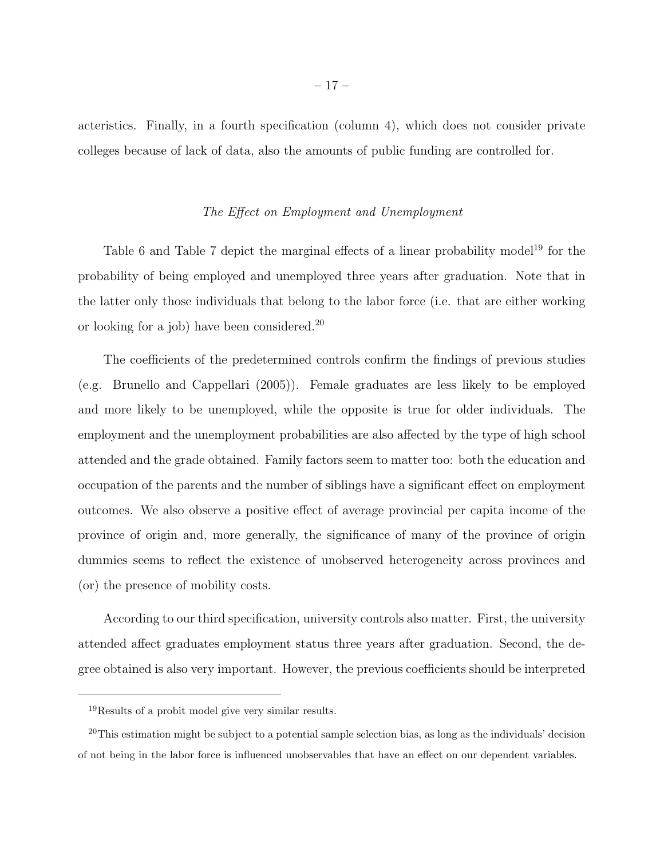acteristics. Finally, in a fourth specification (column 4), which does not consider private colleges because of lack of data, also the amounts of public funding are controlled for.

## The Effect on Employment and Unemployment

Table 6 and Table 7 depict the marginal effects of a linear probability model<sup>19</sup> for the probability of being employed and unemployed three years after graduation. Note that in the latter only those individuals that belong to the labor force (i.e. that are either working or looking for a job) have been considered.<sup>20</sup>

The coefficients of the predetermined controls confirm the findings of previous studies (e.g. Brunello and Cappellari (2005)). Female graduates are less likely to be employed and more likely to be unemployed, while the opposite is true for older individuals. The employment and the unemployment probabilities are also affected by the type of high school attended and the grade obtained. Family factors seem to matter too: both the education and occupation of the parents and the number of siblings have a significant effect on employment outcomes. We also observe a positive effect of average provincial per capita income of the province of origin and, more generally, the significance of many of the province of origin dummies seems to reflect the existence of unobserved heterogeneity across provinces and (or) the presence of mobility costs.

According to our third specification, university controls also matter. First, the university attended affect graduates employment status three years after graduation. Second, the degree obtained is also very important. However, the previous coefficients should be interpreted

<sup>19</sup>Results of a probit model give very similar results.

<sup>&</sup>lt;sup>20</sup>This estimation might be subject to a potential sample selection bias, as long as the individuals' decision of not being in the labor force is influenced unobservables that have an effect on our dependent variables.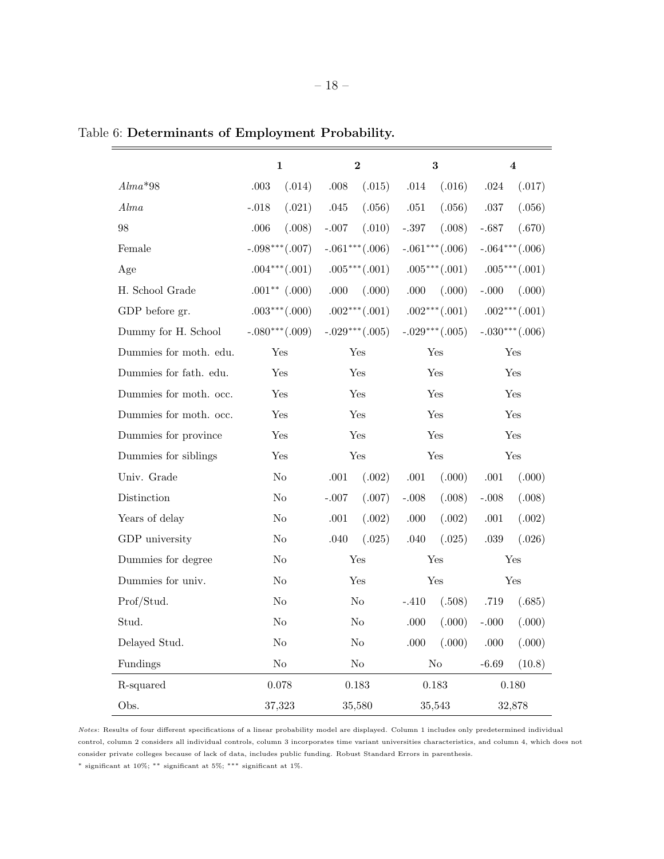|                        | $\mathbf{1}$      | $\bf{2}$          | 3                    | $\overline{\mathbf{4}}$ |
|------------------------|-------------------|-------------------|----------------------|-------------------------|
| $Alma*98$              | .003<br>(.014)    | $.008$<br>(.015)  | $.014\,$<br>(.016)   | (.017)<br>.024          |
| Alma                   | (.021)<br>$-.018$ | (.056)<br>.045    | $.051\,$<br>(.056)   | (.056)<br>$.037\,$      |
| 98                     | .006<br>(.008)    | $-.007$<br>(.010) | $-.397$<br>(.008)    | $-.687$<br>(.670)       |
| Female                 | $-.098***(.007)$  | $-.061***(.006)$  | $-.061***(.006)$     | $-.064***(.006)$        |
| Age                    | $.004***(.001)$   | $.005***(.001)$   | $.005***(.001)$      | $.005***(.001)$         |
| H. School Grade        | $.001**$ (.000)   | .000<br>(.000)    | (.000)<br>.000       | $-.000$<br>(.000)       |
| GDP before gr.         | $.003***(.000)$   | $.002***(.001)$   | $.002***(.001)$      | $.002***(.001)$         |
| Dummy for H. School    | $-.080***(.009)$  | $-.029***(.005)$  | $-.029***(.005)$     | $-.030***(.006)$        |
| Dummies for moth. edu. | Yes               | Yes               | Yes                  | Yes                     |
| Dummies for fath. edu. | Yes               | Yes               | Yes                  | Yes                     |
| Dummies for moth. occ. | Yes               | Yes               | Yes                  | Yes                     |
| Dummies for moth. occ. | Yes               | Yes               | Yes                  | Yes                     |
| Dummies for province   | Yes               | Yes               | Yes                  | Yes                     |
| Dummies for siblings   | Yes               | Yes               | Yes                  | Yes                     |
| Univ. Grade            | No                | (.002)<br>.001    | .001<br>(.000)       | (.000)<br>.001          |
| Distinction            | No                | $-.007$<br>(.007) | $-.008$<br>(.008)    | (.008)<br>$-.008$       |
| Years of delay         | No                | (.002)<br>$.001$  | $.000$<br>(.002)     | .001<br>(.002)          |
| GDP university         | N <sub>o</sub>    | (.025)<br>.040    | $.040$<br>(.025)     | (.026)<br>.039          |
| Dummies for degree     | No                | Yes               | $\operatorname{Yes}$ | Yes                     |
| Dummies for univ.      | No                | Yes               | Yes                  | Yes                     |
| Prof/Stud.             | No                | No                | $-.410$<br>(.508)    | .719<br>(.685)          |
| Stud.                  | N <sub>o</sub>    | N <sub>o</sub>    | $.000$<br>(.000)     | (.000)<br>$-.000$       |
| Delayed Stud.          | N <sub>o</sub>    | $\rm No$          | (.000)<br>.000       | (.000)<br>.000          |
| Fundings               | $\rm No$          | $\rm No$          | $\rm No$             | (10.8)<br>$-6.69$       |
| R-squared              | 0.078             | 0.183             | $\,0.183\,$          | 0.180                   |
| Obs.                   | 37,323            | 35,580            | 35,543               | 32,878                  |

Table 6: Determinants of Employment Probability.

Notes: Results of four different specifications of a linear probability model are displayed. Column 1 includes only predetermined individual control, column 2 considers all individual controls, column 3 incorporates time variant universities characteristics, and column 4, which does not consider private colleges because of lack of data, includes public funding. Robust Standard Errors in parenthesis.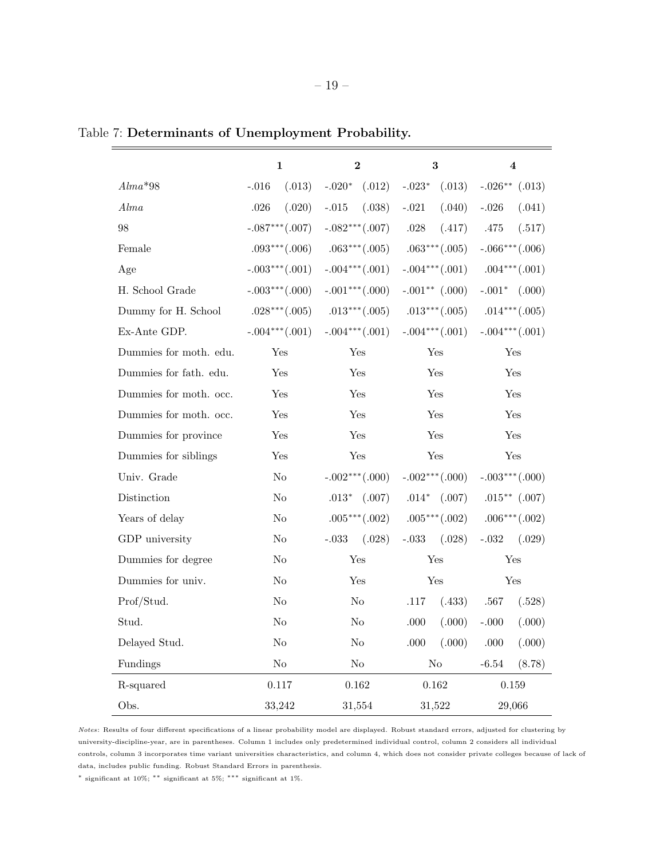|                        | $\mathbf 1$       | $\mathbf{2}$      | 3                  | 4                                 |
|------------------------|-------------------|-------------------|--------------------|-----------------------------------|
| $Alma*98$              | (.013)<br>$-.016$ | $-.020^*$ (.012)  | $-.023*$<br>(.013) | $-.026**$ (.013)                  |
| Alma                   | (.020)<br>.026    | (.038)<br>$-.015$ | $-.021$<br>(.040)  | $-.026$<br>(.041)                 |
| 98                     | $-.087***(.007)$  | $-.082***(.007)$  | .028<br>(.417)     | .475<br>(.517)                    |
| Female                 | $.093***(.006)$   | $.063***(.005)$   | $.063***(.005)$    | $-.066***(.006)$                  |
| Age                    | $-.003***(.001)$  | $-.004***(.001)$  | $-.004***(.001)$   | $.004***(.001)$                   |
| H. School Grade        | $-.003***(.000)$  | $-.001***(.000)$  | $-.001**$ (.000)   | $-.001*$ $(.000)$                 |
| Dummy for H. School    | $.028***(.005)$   | $.013***(.005)$   |                    | .013*** $(.005)$ .014*** $(.005)$ |
| Ex-Ante GDP.           | $-.004***(.001)$  | $-.004***(.001)$  |                    | $-.004***(.001)$ $-.004***(.001)$ |
| Dummies for moth. edu. | Yes               | Yes               | Yes                | Yes                               |
| Dummies for fath. edu. | Yes               | Yes               | Yes                | Yes                               |
| Dummies for moth. occ. | Yes               | Yes               | Yes                | Yes                               |
| Dummies for moth. occ. | Yes               | Yes               | Yes                | Yes                               |
| Dummies for province   | Yes               | Yes               | Yes                | Yes                               |
| Dummies for siblings   | Yes               | Yes               | Yes                | Yes                               |
| Univ. Grade            | No                | $-.002***(.000)$  | $-.002***(.000)$   | $-.003***(.000)$                  |
| Distinction            | $\rm No$          | $.013*$ $(.007)$  | $.014*$ $(.007)$   | $.015**$ $(.007)$                 |
| Years of delay         | No                | $.005***(.002)$   | $.005***(.002)$    | $.006***(.002)$                   |
| GDP university         | No                | $-.033$ $(.028)$  | (.028)<br>$-.033$  | $-.032$<br>(.029)                 |
| Dummies for degree     | $\rm No$          | Yes               | Yes                | Yes                               |
| Dummies for univ.      | No                | Yes               | Yes                | Yes                               |
| Prof/Stud.             | N <sub>o</sub>    | No                | .117<br>(.433)     | .567<br>(.528)                    |
| Stud.                  | N <sub>o</sub>    | N <sub>o</sub>    | $.000$<br>(.000)   | $-.000$<br>(.000)                 |
| Delayed Stud.          | $\rm No$          | No                | (.000)<br>.000     | (.000)<br>.000                    |
| Fundings               | $\rm No$          | $\rm No$          | $\rm No$           | (8.78)<br>$-6.54$                 |
| R-squared              | $0.117\,$         | $\,0.162\,$       | $0.162\,$          | $0.159\,$                         |
| Obs.                   | 33,242            | 31,554            | 31,522             | 29,066                            |

Table 7: Determinants of Unemployment Probability.

Notes: Results of four different specifications of a linear probability model are displayed. Robust standard errors, adjusted for clustering by university-discipline-year, are in parentheses. Column 1 includes only predetermined individual control, column 2 considers all individual controls, column 3 incorporates time variant universities characteristics, and column 4, which does not consider private colleges because of lack of data, includes public funding. Robust Standard Errors in parenthesis.

 $^*$  significant at 10%;  $^{**}$  significant at 1%.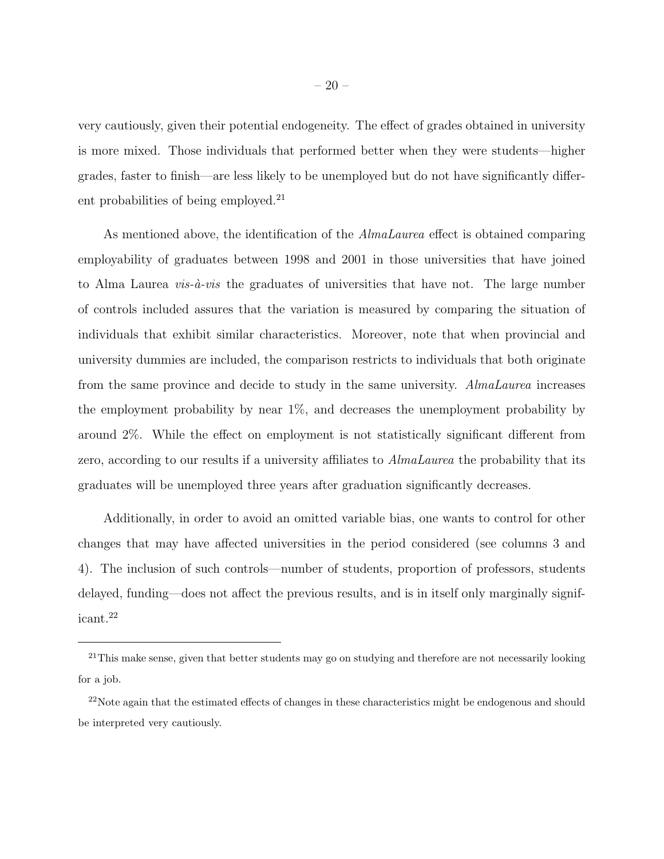very cautiously, given their potential endogeneity. The effect of grades obtained in university is more mixed. Those individuals that performed better when they were students—higher grades, faster to finish—are less likely to be unemployed but do not have significantly different probabilities of being employed.<sup>21</sup>

As mentioned above, the identification of the AlmaLaurea effect is obtained comparing employability of graduates between 1998 and 2001 in those universities that have joined to Alma Laurea *vis-à-vis* the graduates of universities that have not. The large number of controls included assures that the variation is measured by comparing the situation of individuals that exhibit similar characteristics. Moreover, note that when provincial and university dummies are included, the comparison restricts to individuals that both originate from the same province and decide to study in the same university. AlmaLaurea increases the employment probability by near 1%, and decreases the unemployment probability by around 2%. While the effect on employment is not statistically significant different from zero, according to our results if a university affiliates to *AlmaLaurea* the probability that its graduates will be unemployed three years after graduation significantly decreases.

Additionally, in order to avoid an omitted variable bias, one wants to control for other changes that may have affected universities in the period considered (see columns 3 and 4). The inclusion of such controls—number of students, proportion of professors, students delayed, funding—does not affect the previous results, and is in itself only marginally significant.<sup>22</sup>

<sup>&</sup>lt;sup>21</sup>This make sense, given that better students may go on studying and therefore are not necessarily looking for a job.

 $^{22}$ Note again that the estimated effects of changes in these characteristics might be endogenous and should be interpreted very cautiously.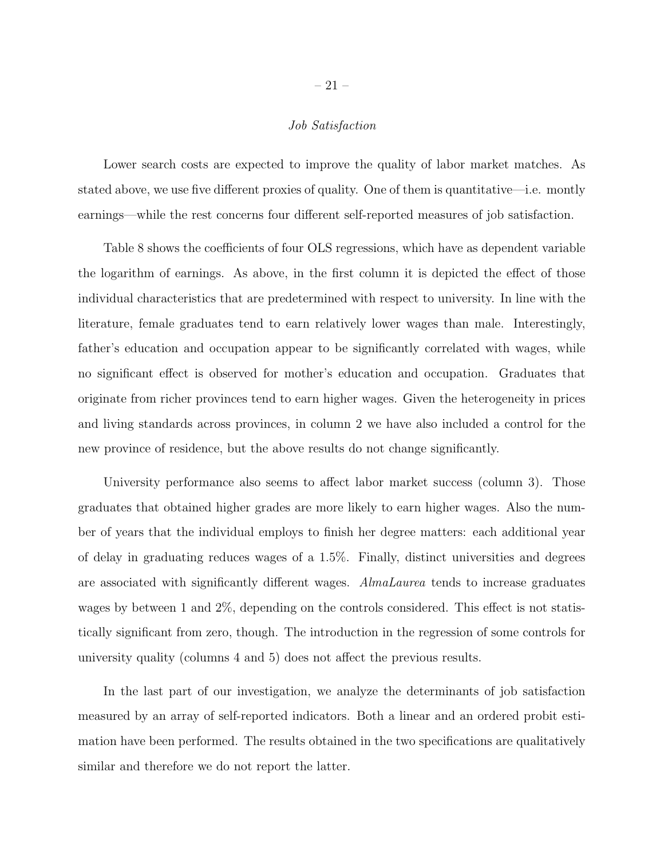## Job Satisfaction

Lower search costs are expected to improve the quality of labor market matches. As stated above, we use five different proxies of quality. One of them is quantitative—i.e. montly earnings—while the rest concerns four different self-reported measures of job satisfaction.

Table 8 shows the coefficients of four OLS regressions, which have as dependent variable the logarithm of earnings. As above, in the first column it is depicted the effect of those individual characteristics that are predetermined with respect to university. In line with the literature, female graduates tend to earn relatively lower wages than male. Interestingly, father's education and occupation appear to be significantly correlated with wages, while no significant effect is observed for mother's education and occupation. Graduates that originate from richer provinces tend to earn higher wages. Given the heterogeneity in prices and living standards across provinces, in column 2 we have also included a control for the new province of residence, but the above results do not change significantly.

University performance also seems to affect labor market success (column 3). Those graduates that obtained higher grades are more likely to earn higher wages. Also the number of years that the individual employs to finish her degree matters: each additional year of delay in graduating reduces wages of a 1.5%. Finally, distinct universities and degrees are associated with significantly different wages. AlmaLaurea tends to increase graduates wages by between 1 and 2%, depending on the controls considered. This effect is not statistically significant from zero, though. The introduction in the regression of some controls for university quality (columns 4 and 5) does not affect the previous results.

In the last part of our investigation, we analyze the determinants of job satisfaction measured by an array of self-reported indicators. Both a linear and an ordered probit estimation have been performed. The results obtained in the two specifications are qualitatively similar and therefore we do not report the latter.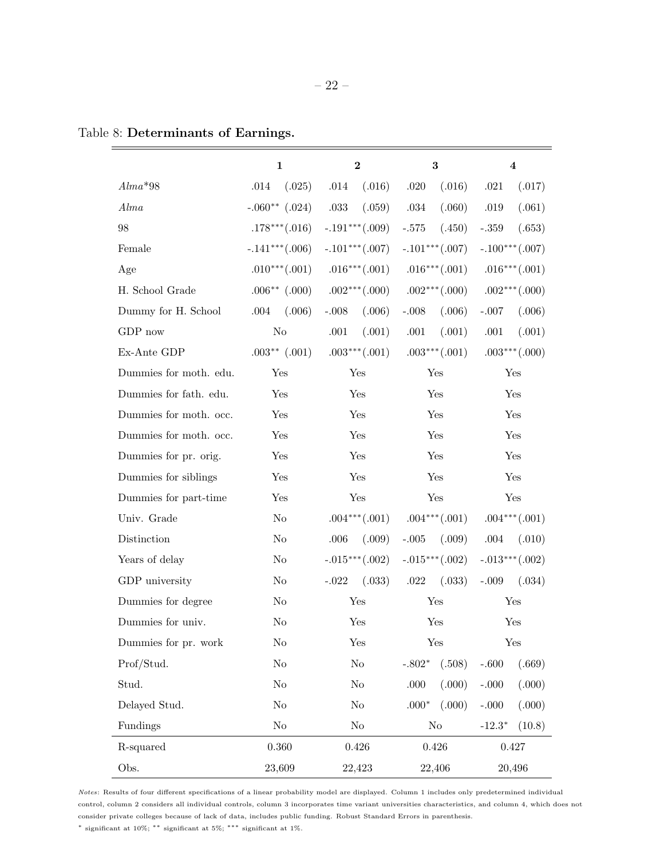|                        | $\mathbf 1$       | $\bf{2}$           | $\bf{3}$            | $\overline{\mathbf{4}}$ |
|------------------------|-------------------|--------------------|---------------------|-------------------------|
| $Alma*98$              | .014<br>(.025)    | (.016)<br>.014     | .020<br>(.016)      | $.021\,$<br>(.017)      |
| Alma                   | $-.060**$ (.024)  | (.059)<br>$.033\,$ | (.060)<br>.034      | $.019\,$<br>(.061)      |
| 98                     | $.178***(.016)$   | $-.191***(.009)$   | $-.575\,$<br>(.450) | $-.359$<br>(.653)       |
| Female                 | $-.141***(.006)$  | $-.101***(.007)$   | $-.101***(.007)$    | $-.100***(.007)$        |
| Age                    | $.010***(.001)$   | $.016***(.001)$    | $.016***(.001)$     | $.016***(.001)$         |
| H. School Grade        | $.006**$ (.000)   | $.002***(.000)$    | $.002***(.000)$     | $.002***(.000)$         |
| Dummy for H. School    | (.006)<br>.004    | (.006)<br>$-.008$  | $-.008$<br>(.006)   | (.006)<br>$-.007$       |
| GDP now                | No                | .001<br>(.001)     | .001<br>(.001)      | .001<br>(.001)          |
| Ex-Ante GDP            | $.003**$ $(.001)$ | $.003***(.001)$    | $.003***(.001)$     | $.003***(.000)$         |
| Dummies for moth. edu. | Yes               | Yes                | Yes                 | Yes                     |
| Dummies for fath. edu. | Yes               | Yes                | Yes                 | Yes                     |
| Dummies for moth. occ. | Yes               | Yes                | Yes                 | Yes                     |
| Dummies for moth. occ. | Yes               | Yes                | Yes                 | Yes                     |
| Dummies for pr. orig.  | Yes               | Yes                | Yes                 | Yes                     |
| Dummies for siblings   | Yes               | Yes                | Yes                 | Yes                     |
| Dummies for part-time  | Yes               | Yes                | Yes                 | Yes                     |
| Univ. Grade            | $\rm No$          | $.004***(.001)$    | $.004***(.001)$     | $.004***(.001)$         |
| Distinction            | No                | .006<br>(.009)     | $-.005$ $(.009)$    | .004<br>(.010)          |
| Years of delay         | No                | $-.015***(.002)$   | $-.015***(.002)$    | $-.013***(.002)$        |
| GDP university         | $\rm No$          | (.033)<br>$-.022$  | .022<br>(.033)      | $-.009$<br>(.034)       |
| Dummies for degree     | No                | Yes                | Yes                 | Yes                     |
| Dummies for univ.      | $\rm No$          | Yes                | Yes                 | Yes                     |
| Dummies for pr. work   | $\rm No$          | Yes                | Yes                 | Yes                     |
| Prof/Stud.             | $\rm No$          | N <sub>o</sub>     | $-.802*$<br>(.508)  | $-.600$<br>(.669)       |
| Stud.                  | $\rm No$          | N <sub>o</sub>     | (.000)<br>$.000$    | (.000)<br>$-.000$       |
| Delayed Stud.          | $\rm No$          | N <sub>o</sub>     | $.000*$<br>(.000)   | (.000)<br>$-.000$       |
| Fundings               | $\rm No$          | $\rm No$           | $\rm No$            | $-12.3*$<br>(10.8)      |
| R-squared              | $0.360\,$         | $0.426\,$          | $0.426\,$           | 0.427                   |
| Obs.                   | 23,609            | 22,423             | 22,406              | 20,496                  |

## Table 8: Determinants of Earnings.

Notes: Results of four different specifications of a linear probability model are displayed. Column 1 includes only predetermined individual control, column 2 considers all individual controls, column 3 incorporates time variant universities characteristics, and column 4, which does not consider private colleges because of lack of data, includes public funding. Robust Standard Errors in parenthesis.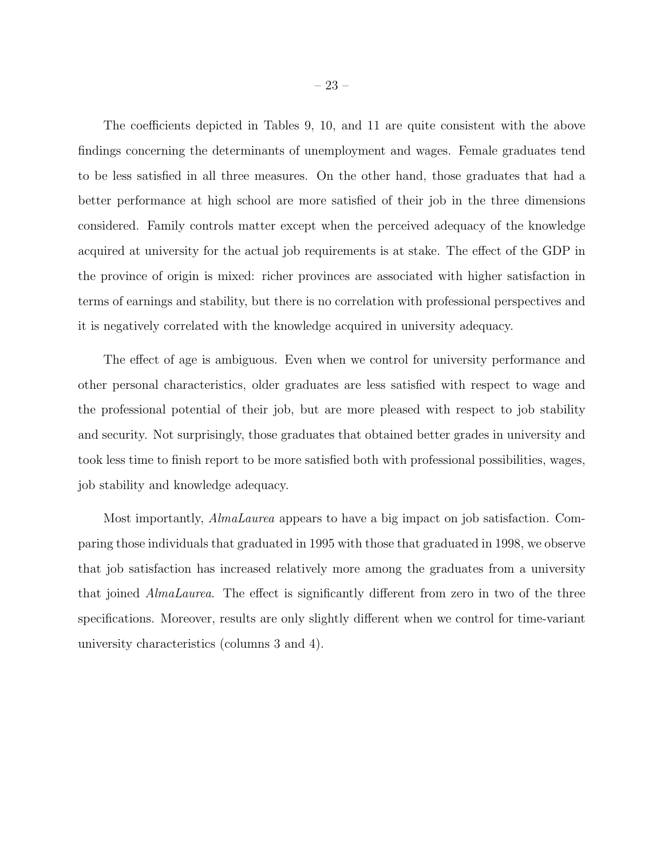The coefficients depicted in Tables 9, 10, and 11 are quite consistent with the above findings concerning the determinants of unemployment and wages. Female graduates tend to be less satisfied in all three measures. On the other hand, those graduates that had a better performance at high school are more satisfied of their job in the three dimensions considered. Family controls matter except when the perceived adequacy of the knowledge acquired at university for the actual job requirements is at stake. The effect of the GDP in the province of origin is mixed: richer provinces are associated with higher satisfaction in terms of earnings and stability, but there is no correlation with professional perspectives and it is negatively correlated with the knowledge acquired in university adequacy.

The effect of age is ambiguous. Even when we control for university performance and other personal characteristics, older graduates are less satisfied with respect to wage and the professional potential of their job, but are more pleased with respect to job stability and security. Not surprisingly, those graduates that obtained better grades in university and took less time to finish report to be more satisfied both with professional possibilities, wages, job stability and knowledge adequacy.

Most importantly, AlmaLaurea appears to have a big impact on job satisfaction. Comparing those individuals that graduated in 1995 with those that graduated in 1998, we observe that job satisfaction has increased relatively more among the graduates from a university that joined AlmaLaurea. The effect is significantly different from zero in two of the three specifications. Moreover, results are only slightly different when we control for time-variant university characteristics (columns 3 and 4).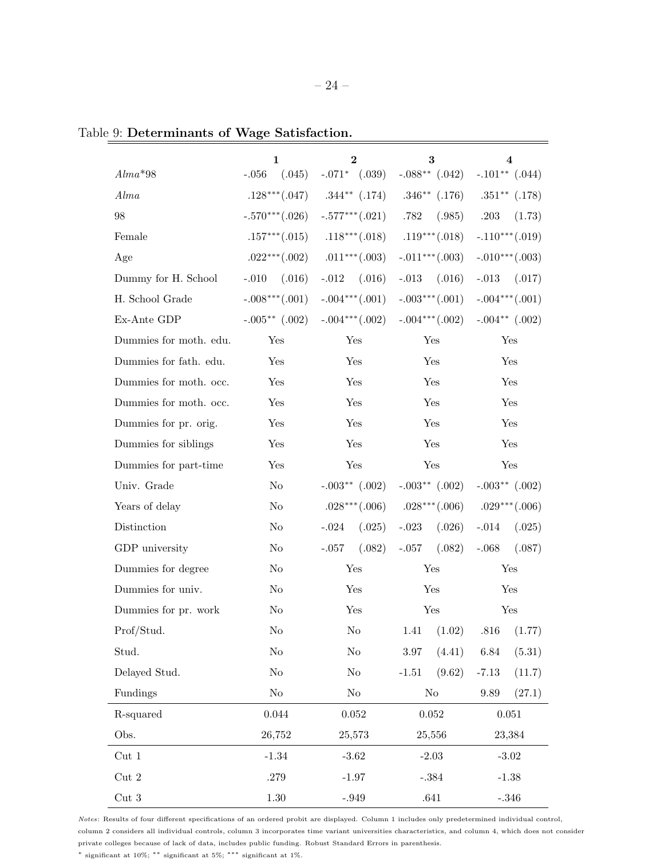|                                      | 1<br>$\bf{2}$       |                                 | 3                   | 4                                      |
|--------------------------------------|---------------------|---------------------------------|---------------------|----------------------------------------|
| $Alma*98$                            | $-.056$ $(.045)$    | $-.071*$ $(.039)$               |                     | $-.088***$ $(.042)$ $-.101**$ $(.044)$ |
| Alma                                 | $.128***(.047)$     | $.344***$ $(.174)$              | $.346**$ $(.176)$   | $.351***$ $(.178)$                     |
| 98                                   | $-.570***(.026)$    | $-.577***(.021)$                | .782<br>(.985)      | .203<br>(1.73)                         |
| Female                               | $.157***(.015)$     | $.118***(.018)$                 | $.119***(.018)$     | $-.110***(.019)$                       |
| Age                                  |                     | $.022***(.002)$ $.011***(.003)$ | $-.011***(.003)$    | $-.010***(.003)$                       |
| Dummy for H. School                  | $-.010$ $(.016)$    | $-.012$<br>(.016)               | $-.013$<br>(.016)   | $-.013$<br>(.017)                      |
| H. School Grade                      | $-.008***(.001)$    | $-.004***(.001)$                |                     | $-.003***(.001)$ $-.004***(.001)$      |
| Ex-Ante GDP                          | $-.005***$ $(.002)$ | $-.004***(.002)$                |                     | $-.004***(.002)$ $-.004**(.002)$       |
| Dummies for moth. edu.               | Yes                 | Yes                             | Yes                 | Yes                                    |
| Dummies for fath. edu.               | Yes                 | Yes                             | Yes                 | Yes                                    |
| Dummies for moth. occ.               | Yes                 | Yes                             | Yes                 | Yes                                    |
| Dummies for moth. occ.               | Yes                 | Yes                             | Yes                 | Yes                                    |
| Dummies for pr. orig.                | Yes                 | Yes                             | Yes                 | Yes                                    |
| Dummies for siblings                 | Yes                 | Yes                             | Yes                 | Yes                                    |
| Dummies for part-time                | Yes                 | Yes                             | Yes                 | Yes                                    |
| Univ. Grade                          | No                  | $-.003**$ (.002)                | $-.003**$ (.002)    | $-.003**(.002)$                        |
| Years of delay                       | $\rm No$            | $.028***(.006)$                 |                     | $.028***(.006)$ $.029***(.006)$        |
| Distinction                          | No                  | (.025)<br>$-.024$               | $-.023$<br>(.026)   | $-.014$<br>(.025)                      |
| GDP university                       | No                  | $-.057$<br>(.082)               | $-.057$<br>(.082)   | $-.068$<br>(.087)                      |
| Dummies for degree                   | No                  | Yes                             | Yes                 | Yes                                    |
| Dummies for univ.                    | No                  | Yes                             | Yes                 | Yes                                    |
| Dummies for pr. work                 | $\rm No$            | Yes                             | Yes                 | Yes                                    |
| Prof/Stud.                           | No                  | No                              | $1.41 \quad (1.02)$ | $.816$ $(1.77)$                        |
| Stud.                                | $\rm No$            | $\rm No$                        | (4.41)<br>$3.97\,$  | 6.84<br>(5.31)                         |
| Delayed Stud.                        | $\rm No$            | $\rm No$                        | (9.62)<br>$-1.51$   | $-7.13$<br>(11.7)                      |
| Fundings                             | $\rm No$            | $\rm No$                        | $\rm No$            | 9.89<br>(27.1)                         |
| R-squared                            | 0.044               | 0.052                           | 0.052               | 0.051                                  |
| Obs.                                 | 26,752              | 25,573                          | 25,556              | 23,384                                 |
| $\ensuremath{\mathrm{Cut}}\xspace$ 1 | $-1.34$             | $-3.62$                         | $-2.03$             | $-3.02$                                |
| $\ensuremath{\mathrm{Cut}}\xspace$ 2 | .279                | $-1.97$                         | $-.384$             | $-1.38$                                |
| $\ensuremath{\mathrm{Cut}}\xspace$ 3 | $1.30\,$            | $-.949$                         | $.641\,$            | $-.346\,$                              |

Table 9: Determinants of Wage Satisfaction.

Notes: Results of four different specifications of an ordered probit are displayed. Column 1 includes only predetermined individual control, column 2 considers all individual controls, column 3 incorporates time variant universities characteristics, and column 4, which does not consider private colleges because of lack of data, includes public funding. Robust Standard Errors in parenthesis.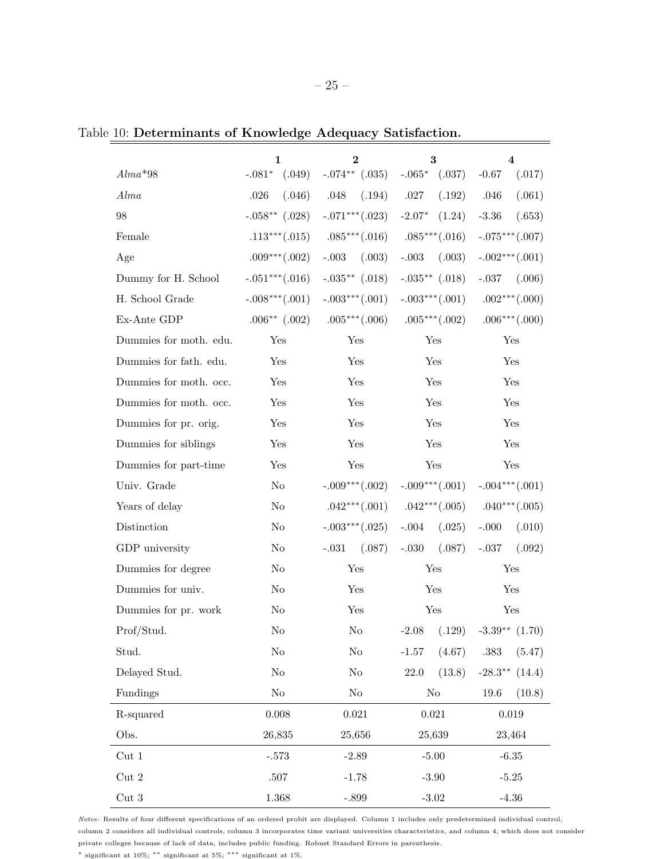|                                      | 1                 | $\bf{2}$                                  | 3                                               | 4                                     |
|--------------------------------------|-------------------|-------------------------------------------|-------------------------------------------------|---------------------------------------|
| $Alma*98$                            | $-.081*$ $(.049)$ | $-.074**$ $(.035)$                        | $-.065*$ $(.037)$                               | $-0.67$<br>(.017)                     |
| Alma                                 | (.046)<br>.026    | (.194)<br>.048                            | .027<br>(.192)                                  | .046<br>(.061)                        |
| 98                                   | $-.058**$ (.028)  | $-.071***(.023)$                          | $-2.07*$<br>(1.24)                              | $-3.36$<br>(.653)                     |
| Female                               |                   | .113***(.015) .085***(.016) .085***(.016) |                                                 | $-.075***(.007)$                      |
| Age                                  | $.009***(.002)$   | $-.003$<br>(.003)                         | $-.003$<br>(.003)                               | $-.002***(.001)$                      |
| Dummy for H. School                  | $-.051***(.016)$  | $-.035***$ $(.018)$                       | $-.035***$ $(.018)$                             | $-.037$ $(.006)$                      |
| H. School Grade                      | $-.008***(.001)$  | $-.003***(.001)$                          | $-.003***(.001)$                                | $.002***(.000)$                       |
| Ex-Ante GDP                          |                   | $.006^{**}$ (.002) $.005^{***}$ (.006)    | $.005***(.002)$                                 | $.006***(.000)$                       |
| Dummies for moth. edu.               | Yes               | Yes                                       | Yes                                             | Yes                                   |
| Dummies for fath. edu.               | Yes               | Yes                                       | Yes                                             | Yes                                   |
| Dummies for moth. occ.               | Yes               | Yes                                       | Yes                                             | Yes                                   |
| Dummies for moth. occ.               | Yes               | Yes                                       | Yes                                             | Yes                                   |
| Dummies for pr. orig.                | Yes               | Yes                                       | Yes                                             | Yes                                   |
| Dummies for siblings                 | Yes               | Yes                                       | Yes                                             | Yes                                   |
| Dummies for part-time                | Yes               | Yes                                       | Yes                                             | Yes                                   |
| Univ. Grade                          | $\rm No$          | $-.009***(.002)$                          | $-.009***(.001)$                                | $-.004***(.001)$                      |
| Years of delay                       | No                |                                           | $.042***(.001)$ $.042***(.005)$ $.040***(.005)$ |                                       |
| Distinction                          | $\rm No$          | $-.003***(.025)$                          | $-.004$<br>(.025)                               | $-.000$<br>(.010)                     |
| GDP university                       | No                | (.087)<br>$-.031$                         | (.087)<br>$-.030$                               | $-.037$<br>(.092)                     |
| Dummies for degree                   | No                | Yes                                       | Yes                                             | Yes                                   |
| Dummies for univ.                    | No                | Yes                                       | Yes                                             | Yes                                   |
| Dummies for pr. work                 | No                | Yes                                       | Yes                                             | Yes                                   |
| Prof/Stud.                           | No                | No                                        | $-2.08$<br>(.129)                               | $-3.39**$ $(1.70)$                    |
| Stud.                                | $\rm No$          | $\rm No$                                  | (4.67)<br>$-1.57$                               | $.383\,$<br>(5.47)                    |
| Delayed Stud.                        | $\rm No$          | $\rm No$                                  | $22.0\,$<br>(13.8)                              | $\textbf{-28.3}^{\ast\ast}$<br>(14.4) |
| Fundings                             | $\rm No$          | $\rm No$                                  | $\rm No$                                        | (10.8)<br>19.6                        |
| R-squared                            | $0.008\,$         | 0.021                                     | $\,0.021\,$                                     | $\,0.019\,$                           |
| Obs.                                 | 26,835            | 25,656                                    | 25,639                                          | 23,464                                |
| $\ensuremath{\mathrm{Cut}}\xspace$ 1 | $-.573$           | $-2.89$                                   | $-5.00$                                         | $-6.35$                               |
| $\ensuremath{\mathrm{Cut}}\xspace$ 2 | $.507\,$          | $-1.78$                                   | $-3.90$                                         | $-5.25$                               |

Table 10: Determinants of Knowledge Adequacy Satisfaction.

Notes: Results of four different specifications of an ordered probit are displayed. Column 1 includes only predetermined individual control, column 2 considers all individual controls, column 3 incorporates time variant universities characteristics, and column 4, which does not consider private colleges because of lack of data, includes public funding. Robust Standard Errors in parenthesis.

Cut 3 1.368 -.899 -3.02 -4.36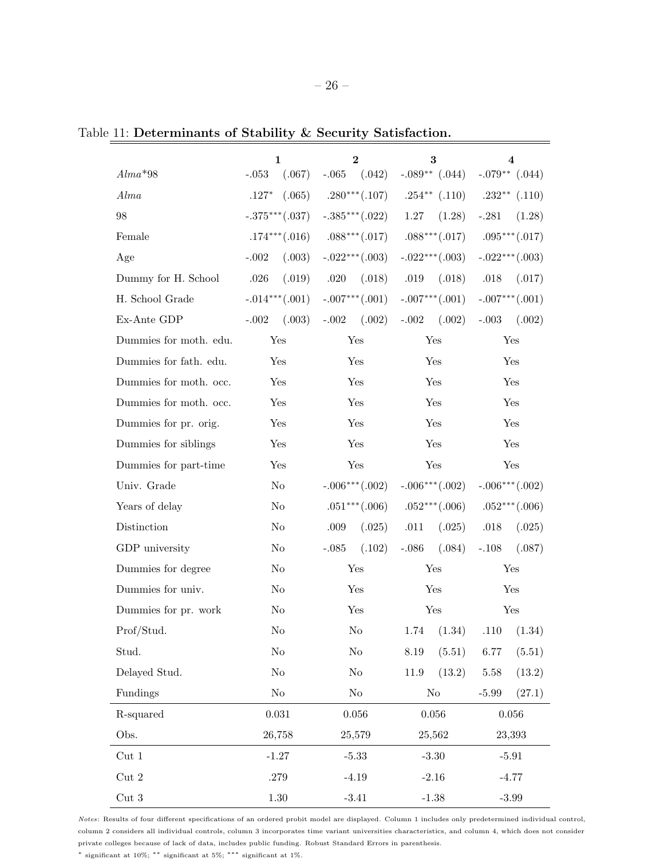|--|--|--|

|  | Table 11: Determinants of Stability & Security Satisfaction. |  |  |  |
|--|--------------------------------------------------------------|--|--|--|
|  |                                                              |  |  |  |

|                                      | 1                        | $\mathbf{2}$      | 3                                                         | 4                                 |  |
|--------------------------------------|--------------------------|-------------------|-----------------------------------------------------------|-----------------------------------|--|
| $Alma*98$                            | $\text{-}.053$<br>(.067) | $-.065$ $(.042)$  |                                                           | $-.089**$ (.044) $-.079**$ (.044) |  |
| Alma                                 | (.065)<br>$.127*$        |                   | $.280***(.107)$ $.254**(.110)$ $.232**(.110)$             |                                   |  |
| 98                                   | $-.375***(.037)$         | $-.385***(.022)$  | 1.27<br>(1.28)                                            | $-.281$<br>(1.28)                 |  |
| Female                               | $.174***(.016)$          |                   | $.088***(.017) \qquad .088***(.017) \qquad .095***(.017)$ |                                   |  |
| Age                                  | (.003)<br>$-.002$        | $-.022***(.003)$  | $-.022***(.003)$                                          | $-.022***(.003)$                  |  |
| Dummy for H. School                  | .026<br>(.019)           | .020<br>(.018)    | .019                                                      | $(.018)$ .018<br>(.017)           |  |
| H. School Grade                      | $-.014***(.001)$         | $-.007***(.001)$  |                                                           | $-.007***(.001)$ $-.007***(.001)$ |  |
| Ex-Ante GDP                          | $-.002$<br>(.003)        | (.002)<br>$-.002$ | (.002)<br>$-.002$                                         | $-.003$<br>(.002)                 |  |
| Dummies for moth. edu.               | Yes                      | Yes               | Yes                                                       | Yes                               |  |
| Dummies for fath. edu.               | Yes                      | Yes               | Yes                                                       | Yes                               |  |
| Dummies for moth. occ.               | Yes                      | Yes               | Yes                                                       | Yes                               |  |
| Dummies for moth. occ.               | Yes                      | Yes               | Yes                                                       | Yes                               |  |
| Dummies for pr. orig.                | Yes                      | Yes               | Yes                                                       | Yes                               |  |
| Dummies for siblings                 | Yes                      | Yes               | Yes                                                       | Yes                               |  |
| Dummies for part-time                | Yes                      | Yes               | Yes                                                       | Yes                               |  |
| Univ. Grade                          | No                       | $-.006***(.002)$  | $-.006***(.002)$                                          | $-.006***(.002)$                  |  |
| Years of delay                       | No                       | $.051***(.006)$   | $.052***(.006)$                                           | $.052***(.006)$                   |  |
| Distinction                          | No                       | (.025)<br>.009    | .011<br>(.025)                                            | .018<br>(.025)                    |  |
| GDP university                       | No                       | $-.085$<br>(.102) | $-.086$<br>(.084)                                         | $-.108$<br>(.087)                 |  |
| Dummies for degree                   | No                       | Yes               | Yes                                                       | Yes                               |  |
| Dummies for univ.                    | No                       | Yes               | Yes                                                       | Yes                               |  |
| Dummies for pr. work                 | No                       | Yes               | Yes                                                       | Yes                               |  |
| Prof/Stud.                           | No                       | No                | (1.34)<br>1.74                                            | .110<br>(1.34)                    |  |
| Stud.                                | $\rm No$                 | $\rm No$          | (5.51)<br>$8.19\,$                                        | 6.77<br>(5.51)                    |  |
| Delayed Stud.                        | $\rm No$                 | $\rm No$          | $11.9\,$<br>(13.2)                                        | $5.58\,$<br>(13.2)                |  |
| Fundings                             | $\rm No$                 | $\rm No$          | $\rm No$                                                  | (27.1)<br>$-5.99$                 |  |
| R-squared                            | $\,0.031\,$              | $0.056\,$         | 0.056                                                     | $0.056\,$                         |  |
| Obs.                                 | 26,758                   | 25,579            | 25,562                                                    | 23,393                            |  |
| Cut <sub>1</sub>                     | $-1.27$                  | $-5.33$           | $-3.30$                                                   | $-5.91$                           |  |
| $\ensuremath{\mathrm{Cut}}\xspace$ 2 | $.279\,$                 | $-4.19$           | $-2.16$                                                   | $-4.77$                           |  |
| $\ensuremath{\mathrm{Cut}}\xspace$ 3 | $1.30\,$                 | $-3.41$           | $-1.38$                                                   | $-3.99$                           |  |

Notes: Results of four different specifications of an ordered probit model are displayed. Column 1 includes only predetermined individual control, column 2 considers all individual controls, column 3 incorporates time variant universities characteristics, and column 4, which does not consider private colleges because of lack of data, includes public funding. Robust Standard Errors in parenthesis.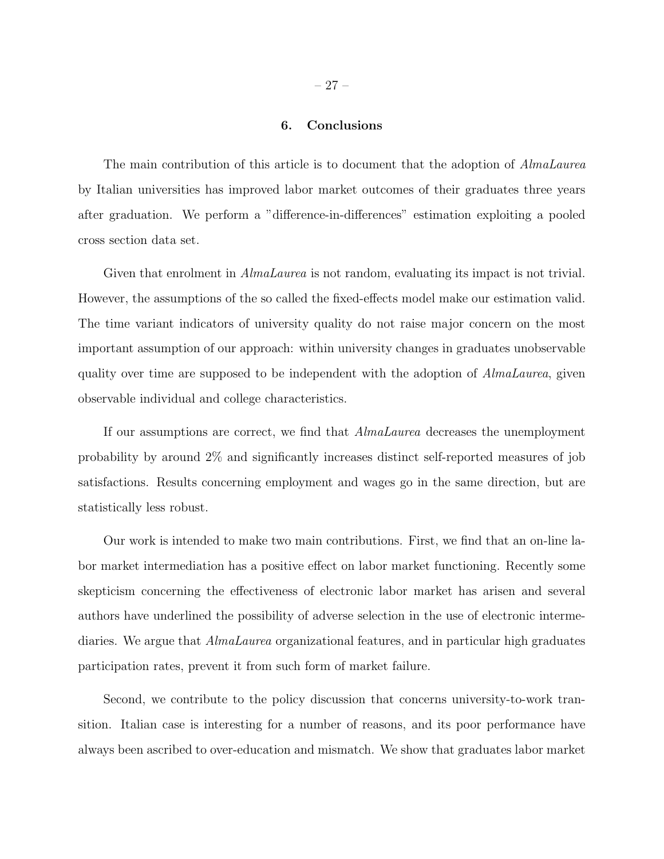## 6. Conclusions

The main contribution of this article is to document that the adoption of *AlmaLaurea* by Italian universities has improved labor market outcomes of their graduates three years after graduation. We perform a "difference-in-differences" estimation exploiting a pooled cross section data set.

Given that enrolment in *AlmaLaurea* is not random, evaluating its impact is not trivial. However, the assumptions of the so called the fixed-effects model make our estimation valid. The time variant indicators of university quality do not raise major concern on the most important assumption of our approach: within university changes in graduates unobservable quality over time are supposed to be independent with the adoption of *AlmaLaurea*, given observable individual and college characteristics.

If our assumptions are correct, we find that AlmaLaurea decreases the unemployment probability by around 2% and significantly increases distinct self-reported measures of job satisfactions. Results concerning employment and wages go in the same direction, but are statistically less robust.

Our work is intended to make two main contributions. First, we find that an on-line labor market intermediation has a positive effect on labor market functioning. Recently some skepticism concerning the effectiveness of electronic labor market has arisen and several authors have underlined the possibility of adverse selection in the use of electronic intermediaries. We argue that AlmaLaurea organizational features, and in particular high graduates participation rates, prevent it from such form of market failure.

Second, we contribute to the policy discussion that concerns university-to-work transition. Italian case is interesting for a number of reasons, and its poor performance have always been ascribed to over-education and mismatch. We show that graduates labor market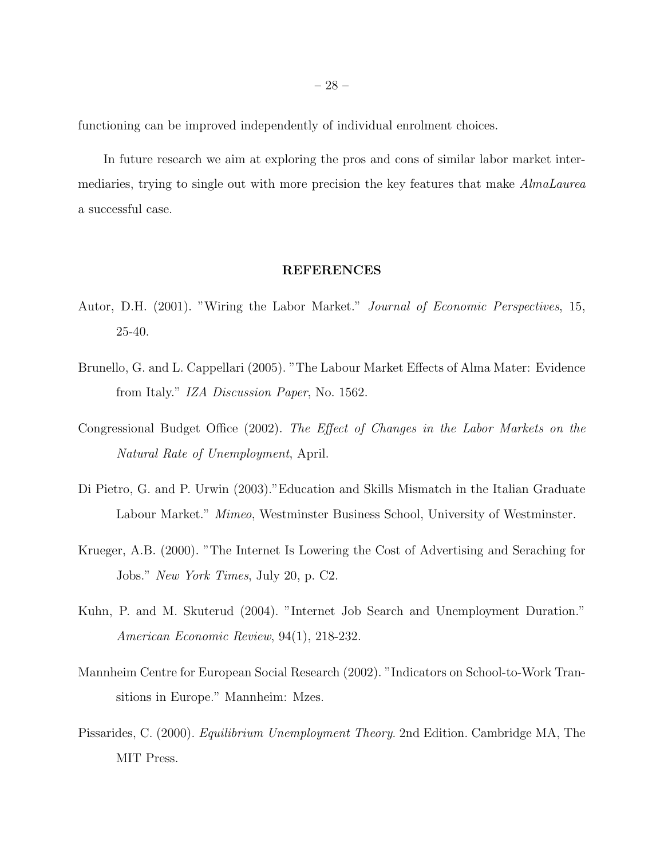functioning can be improved independently of individual enrolment choices.

In future research we aim at exploring the pros and cons of similar labor market intermediaries, trying to single out with more precision the key features that make AlmaLaurea a successful case.

## REFERENCES

- Autor, D.H. (2001). "Wiring the Labor Market." Journal of Economic Perspectives, 15, 25-40.
- Brunello, G. and L. Cappellari (2005). "The Labour Market Effects of Alma Mater: Evidence from Italy." IZA Discussion Paper, No. 1562.
- Congressional Budget Office (2002). The Effect of Changes in the Labor Markets on the Natural Rate of Unemployment, April.
- Di Pietro, G. and P. Urwin (2003)."Education and Skills Mismatch in the Italian Graduate Labour Market." Mimeo, Westminster Business School, University of Westminster.
- Krueger, A.B. (2000). "The Internet Is Lowering the Cost of Advertising and Seraching for Jobs." New York Times, July 20, p. C2.
- Kuhn, P. and M. Skuterud (2004). "Internet Job Search and Unemployment Duration." American Economic Review, 94(1), 218-232.
- Mannheim Centre for European Social Research (2002). "Indicators on School-to-Work Transitions in Europe." Mannheim: Mzes.
- Pissarides, C. (2000). Equilibrium Unemployment Theory. 2nd Edition. Cambridge MA, The MIT Press.